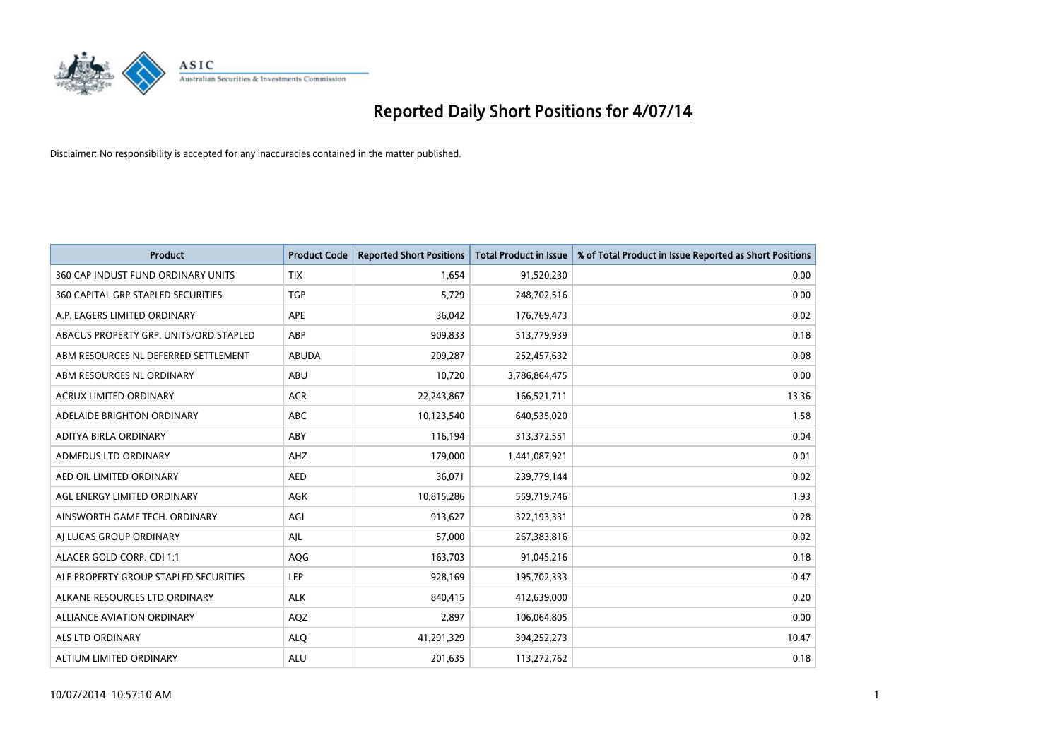

| <b>Product</b>                         | <b>Product Code</b> | <b>Reported Short Positions</b> | <b>Total Product in Issue</b> | % of Total Product in Issue Reported as Short Positions |
|----------------------------------------|---------------------|---------------------------------|-------------------------------|---------------------------------------------------------|
| 360 CAP INDUST FUND ORDINARY UNITS     | <b>TIX</b>          | 1,654                           | 91,520,230                    | 0.00                                                    |
| 360 CAPITAL GRP STAPLED SECURITIES     | <b>TGP</b>          | 5,729                           | 248,702,516                   | 0.00                                                    |
| A.P. EAGERS LIMITED ORDINARY           | APE                 | 36,042                          | 176,769,473                   | 0.02                                                    |
| ABACUS PROPERTY GRP. UNITS/ORD STAPLED | ABP                 | 909,833                         | 513,779,939                   | 0.18                                                    |
| ABM RESOURCES NL DEFERRED SETTLEMENT   | <b>ABUDA</b>        | 209,287                         | 252,457,632                   | 0.08                                                    |
| ABM RESOURCES NL ORDINARY              | ABU                 | 10,720                          | 3,786,864,475                 | 0.00                                                    |
| <b>ACRUX LIMITED ORDINARY</b>          | <b>ACR</b>          | 22,243,867                      | 166,521,711                   | 13.36                                                   |
| ADELAIDE BRIGHTON ORDINARY             | <b>ABC</b>          | 10,123,540                      | 640,535,020                   | 1.58                                                    |
| ADITYA BIRLA ORDINARY                  | ABY                 | 116,194                         | 313,372,551                   | 0.04                                                    |
| ADMEDUS LTD ORDINARY                   | AHZ                 | 179,000                         | 1,441,087,921                 | 0.01                                                    |
| AED OIL LIMITED ORDINARY               | <b>AED</b>          | 36,071                          | 239,779,144                   | 0.02                                                    |
| AGL ENERGY LIMITED ORDINARY            | AGK                 | 10,815,286                      | 559,719,746                   | 1.93                                                    |
| AINSWORTH GAME TECH. ORDINARY          | AGI                 | 913,627                         | 322,193,331                   | 0.28                                                    |
| AI LUCAS GROUP ORDINARY                | AJL                 | 57,000                          | 267,383,816                   | 0.02                                                    |
| ALACER GOLD CORP. CDI 1:1              | AQG                 | 163,703                         | 91,045,216                    | 0.18                                                    |
| ALE PROPERTY GROUP STAPLED SECURITIES  | LEP                 | 928,169                         | 195,702,333                   | 0.47                                                    |
| ALKANE RESOURCES LTD ORDINARY          | <b>ALK</b>          | 840,415                         | 412,639,000                   | 0.20                                                    |
| <b>ALLIANCE AVIATION ORDINARY</b>      | AQZ                 | 2,897                           | 106,064,805                   | 0.00                                                    |
| ALS LTD ORDINARY                       | <b>ALO</b>          | 41,291,329                      | 394,252,273                   | 10.47                                                   |
| ALTIUM LIMITED ORDINARY                | <b>ALU</b>          | 201,635                         | 113,272,762                   | 0.18                                                    |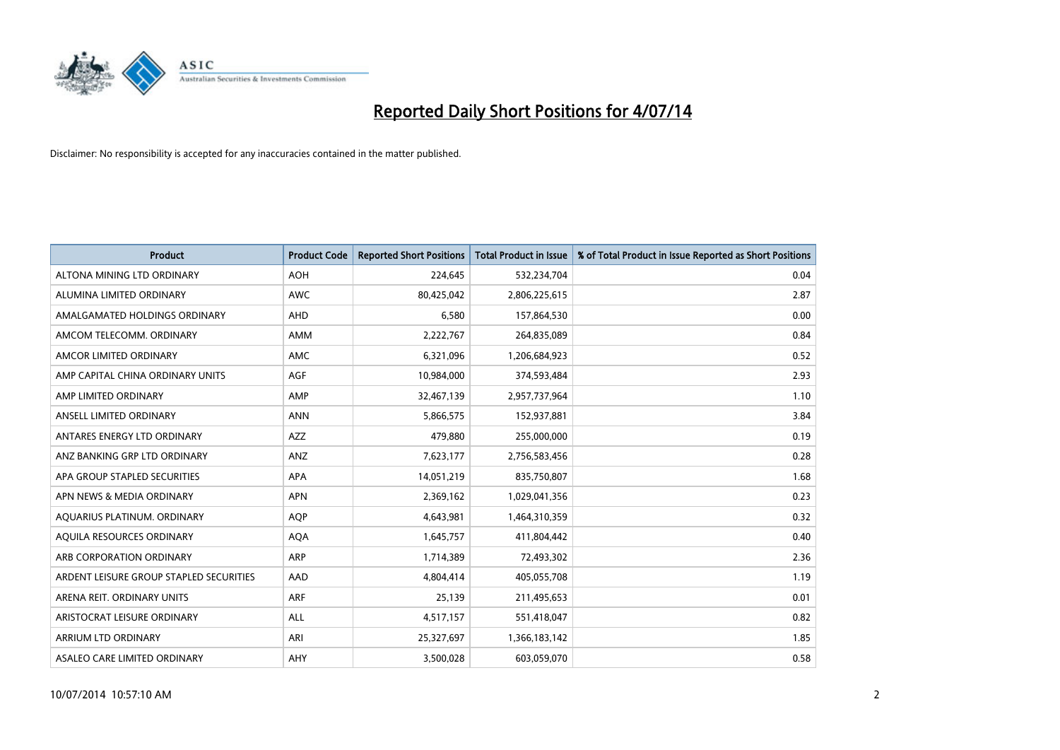

| <b>Product</b>                          | <b>Product Code</b> | <b>Reported Short Positions</b> | <b>Total Product in Issue</b> | % of Total Product in Issue Reported as Short Positions |
|-----------------------------------------|---------------------|---------------------------------|-------------------------------|---------------------------------------------------------|
| ALTONA MINING LTD ORDINARY              | <b>AOH</b>          | 224,645                         | 532,234,704                   | 0.04                                                    |
| ALUMINA LIMITED ORDINARY                | <b>AWC</b>          | 80,425,042                      | 2,806,225,615                 | 2.87                                                    |
| AMALGAMATED HOLDINGS ORDINARY           | AHD                 | 6,580                           | 157,864,530                   | 0.00                                                    |
| AMCOM TELECOMM. ORDINARY                | AMM                 | 2,222,767                       | 264,835,089                   | 0.84                                                    |
| AMCOR LIMITED ORDINARY                  | AMC                 | 6,321,096                       | 1,206,684,923                 | 0.52                                                    |
| AMP CAPITAL CHINA ORDINARY UNITS        | AGF                 | 10,984,000                      | 374,593,484                   | 2.93                                                    |
| AMP LIMITED ORDINARY                    | AMP                 | 32,467,139                      | 2,957,737,964                 | 1.10                                                    |
| ANSELL LIMITED ORDINARY                 | <b>ANN</b>          | 5,866,575                       | 152,937,881                   | 3.84                                                    |
| ANTARES ENERGY LTD ORDINARY             | <b>AZZ</b>          | 479,880                         | 255,000,000                   | 0.19                                                    |
| ANZ BANKING GRP LTD ORDINARY            | ANZ                 | 7,623,177                       | 2,756,583,456                 | 0.28                                                    |
| APA GROUP STAPLED SECURITIES            | APA                 | 14,051,219                      | 835,750,807                   | 1.68                                                    |
| APN NEWS & MEDIA ORDINARY               | <b>APN</b>          | 2,369,162                       | 1,029,041,356                 | 0.23                                                    |
| AQUARIUS PLATINUM. ORDINARY             | <b>AOP</b>          | 4,643,981                       | 1,464,310,359                 | 0.32                                                    |
| AQUILA RESOURCES ORDINARY               | <b>AQA</b>          | 1,645,757                       | 411,804,442                   | 0.40                                                    |
| ARB CORPORATION ORDINARY                | ARP                 | 1,714,389                       | 72,493,302                    | 2.36                                                    |
| ARDENT LEISURE GROUP STAPLED SECURITIES | AAD                 | 4,804,414                       | 405,055,708                   | 1.19                                                    |
| ARENA REIT. ORDINARY UNITS              | <b>ARF</b>          | 25,139                          | 211,495,653                   | 0.01                                                    |
| ARISTOCRAT LEISURE ORDINARY             | <b>ALL</b>          | 4,517,157                       | 551,418,047                   | 0.82                                                    |
| ARRIUM LTD ORDINARY                     | ARI                 | 25,327,697                      | 1,366,183,142                 | 1.85                                                    |
| ASALEO CARE LIMITED ORDINARY            | AHY                 | 3,500,028                       | 603,059,070                   | 0.58                                                    |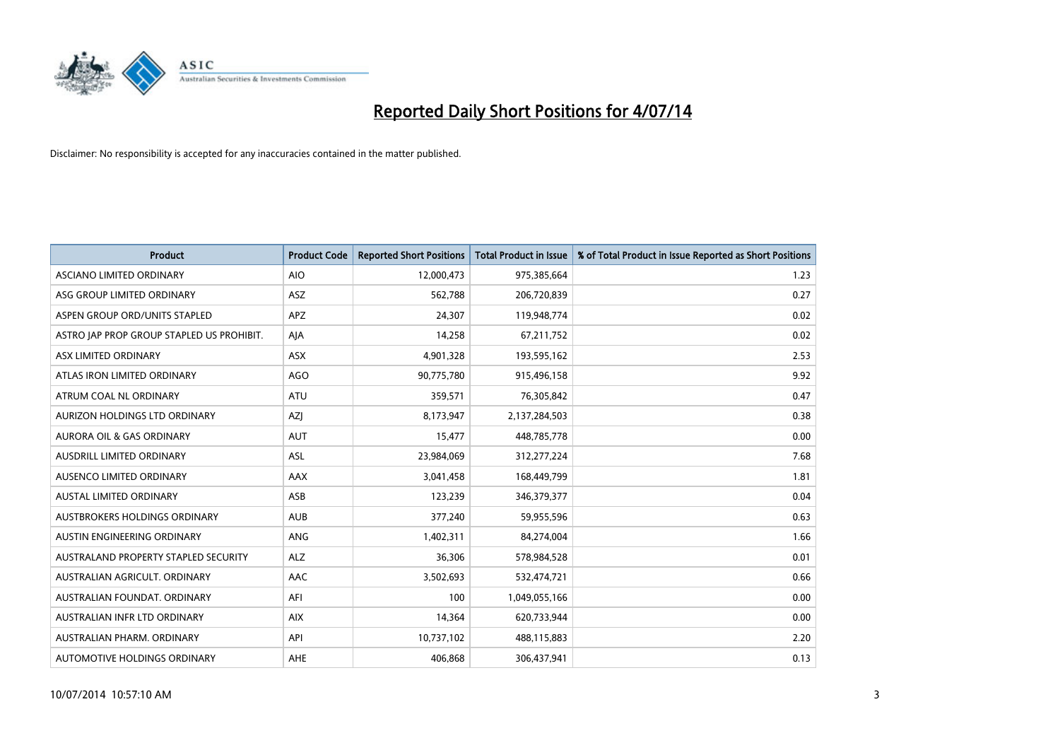

| <b>Product</b>                            | <b>Product Code</b> | <b>Reported Short Positions</b> | <b>Total Product in Issue</b> | % of Total Product in Issue Reported as Short Positions |
|-------------------------------------------|---------------------|---------------------------------|-------------------------------|---------------------------------------------------------|
| ASCIANO LIMITED ORDINARY                  | <b>AIO</b>          | 12,000,473                      | 975,385,664                   | 1.23                                                    |
| ASG GROUP LIMITED ORDINARY                | ASZ                 | 562,788                         | 206,720,839                   | 0.27                                                    |
| ASPEN GROUP ORD/UNITS STAPLED             | <b>APZ</b>          | 24,307                          | 119,948,774                   | 0.02                                                    |
| ASTRO JAP PROP GROUP STAPLED US PROHIBIT. | AJA                 | 14,258                          | 67,211,752                    | 0.02                                                    |
| ASX LIMITED ORDINARY                      | ASX                 | 4,901,328                       | 193,595,162                   | 2.53                                                    |
| ATLAS IRON LIMITED ORDINARY               | <b>AGO</b>          | 90,775,780                      | 915,496,158                   | 9.92                                                    |
| ATRUM COAL NL ORDINARY                    | <b>ATU</b>          | 359,571                         | 76,305,842                    | 0.47                                                    |
| AURIZON HOLDINGS LTD ORDINARY             | AZJ                 | 8,173,947                       | 2,137,284,503                 | 0.38                                                    |
| <b>AURORA OIL &amp; GAS ORDINARY</b>      | <b>AUT</b>          | 15,477                          | 448,785,778                   | 0.00                                                    |
| AUSDRILL LIMITED ORDINARY                 | <b>ASL</b>          | 23,984,069                      | 312,277,224                   | 7.68                                                    |
| AUSENCO LIMITED ORDINARY                  | AAX                 | 3,041,458                       | 168,449,799                   | 1.81                                                    |
| <b>AUSTAL LIMITED ORDINARY</b>            | ASB                 | 123,239                         | 346,379,377                   | 0.04                                                    |
| AUSTBROKERS HOLDINGS ORDINARY             | <b>AUB</b>          | 377,240                         | 59,955,596                    | 0.63                                                    |
| AUSTIN ENGINEERING ORDINARY               | ANG                 | 1,402,311                       | 84,274,004                    | 1.66                                                    |
| AUSTRALAND PROPERTY STAPLED SECURITY      | <b>ALZ</b>          | 36,306                          | 578,984,528                   | 0.01                                                    |
| AUSTRALIAN AGRICULT. ORDINARY             | AAC                 | 3,502,693                       | 532,474,721                   | 0.66                                                    |
| AUSTRALIAN FOUNDAT. ORDINARY              | AFI                 | 100                             | 1,049,055,166                 | 0.00                                                    |
| AUSTRALIAN INFR LTD ORDINARY              | <b>AIX</b>          | 14,364                          | 620,733,944                   | 0.00                                                    |
| AUSTRALIAN PHARM, ORDINARY                | API                 | 10,737,102                      | 488,115,883                   | 2.20                                                    |
| AUTOMOTIVE HOLDINGS ORDINARY              | <b>AHE</b>          | 406,868                         | 306,437,941                   | 0.13                                                    |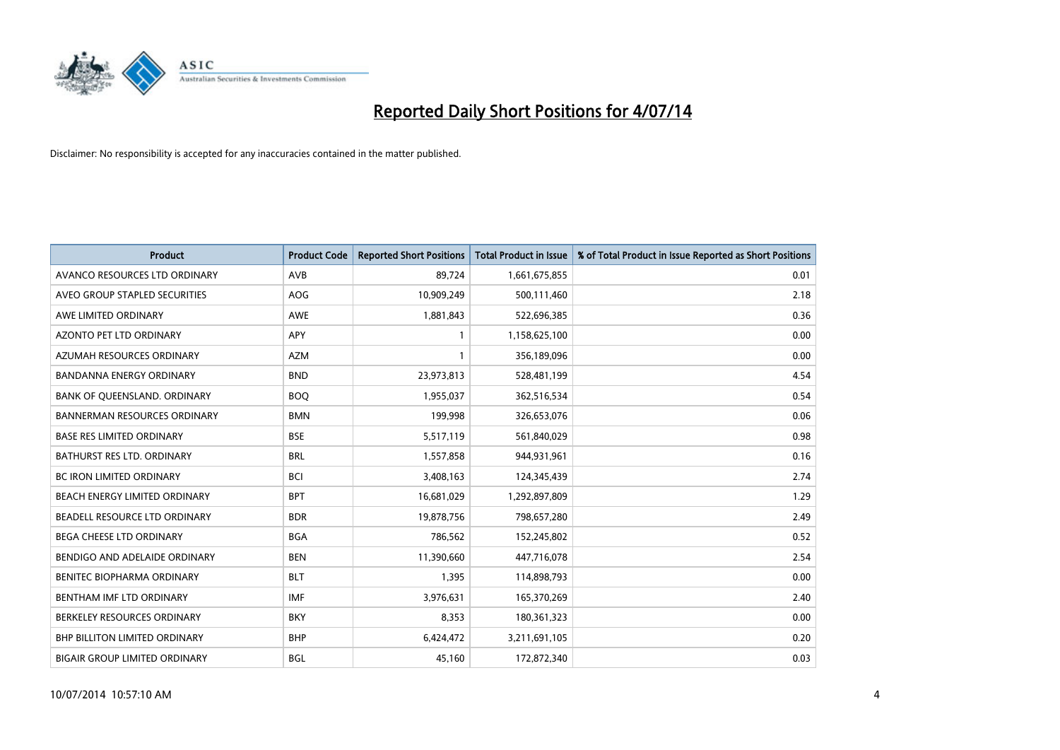

| <b>Product</b>                       | <b>Product Code</b> | <b>Reported Short Positions</b> | <b>Total Product in Issue</b> | % of Total Product in Issue Reported as Short Positions |
|--------------------------------------|---------------------|---------------------------------|-------------------------------|---------------------------------------------------------|
| AVANCO RESOURCES LTD ORDINARY        | AVB                 | 89,724                          | 1,661,675,855                 | 0.01                                                    |
| AVEO GROUP STAPLED SECURITIES        | <b>AOG</b>          | 10,909,249                      | 500,111,460                   | 2.18                                                    |
| AWE LIMITED ORDINARY                 | <b>AWE</b>          | 1,881,843                       | 522,696,385                   | 0.36                                                    |
| AZONTO PET LTD ORDINARY              | APY                 | 1                               | 1,158,625,100                 | 0.00                                                    |
| AZUMAH RESOURCES ORDINARY            | <b>AZM</b>          | 1                               | 356,189,096                   | 0.00                                                    |
| <b>BANDANNA ENERGY ORDINARY</b>      | <b>BND</b>          | 23,973,813                      | 528,481,199                   | 4.54                                                    |
| BANK OF QUEENSLAND. ORDINARY         | <b>BOQ</b>          | 1,955,037                       | 362,516,534                   | 0.54                                                    |
| <b>BANNERMAN RESOURCES ORDINARY</b>  | <b>BMN</b>          | 199,998                         | 326,653,076                   | 0.06                                                    |
| <b>BASE RES LIMITED ORDINARY</b>     | <b>BSE</b>          | 5,517,119                       | 561,840,029                   | 0.98                                                    |
| <b>BATHURST RES LTD. ORDINARY</b>    | <b>BRL</b>          | 1,557,858                       | 944,931,961                   | 0.16                                                    |
| <b>BC IRON LIMITED ORDINARY</b>      | <b>BCI</b>          | 3,408,163                       | 124,345,439                   | 2.74                                                    |
| BEACH ENERGY LIMITED ORDINARY        | <b>BPT</b>          | 16,681,029                      | 1,292,897,809                 | 1.29                                                    |
| BEADELL RESOURCE LTD ORDINARY        | <b>BDR</b>          | 19,878,756                      | 798,657,280                   | 2.49                                                    |
| <b>BEGA CHEESE LTD ORDINARY</b>      | <b>BGA</b>          | 786.562                         | 152,245,802                   | 0.52                                                    |
| BENDIGO AND ADELAIDE ORDINARY        | <b>BEN</b>          | 11,390,660                      | 447,716,078                   | 2.54                                                    |
| BENITEC BIOPHARMA ORDINARY           | <b>BLT</b>          | 1,395                           | 114,898,793                   | 0.00                                                    |
| BENTHAM IMF LTD ORDINARY             | <b>IMF</b>          | 3,976,631                       | 165,370,269                   | 2.40                                                    |
| BERKELEY RESOURCES ORDINARY          | <b>BKY</b>          | 8,353                           | 180,361,323                   | 0.00                                                    |
| <b>BHP BILLITON LIMITED ORDINARY</b> | <b>BHP</b>          | 6,424,472                       | 3,211,691,105                 | 0.20                                                    |
| <b>BIGAIR GROUP LIMITED ORDINARY</b> | <b>BGL</b>          | 45.160                          | 172,872,340                   | 0.03                                                    |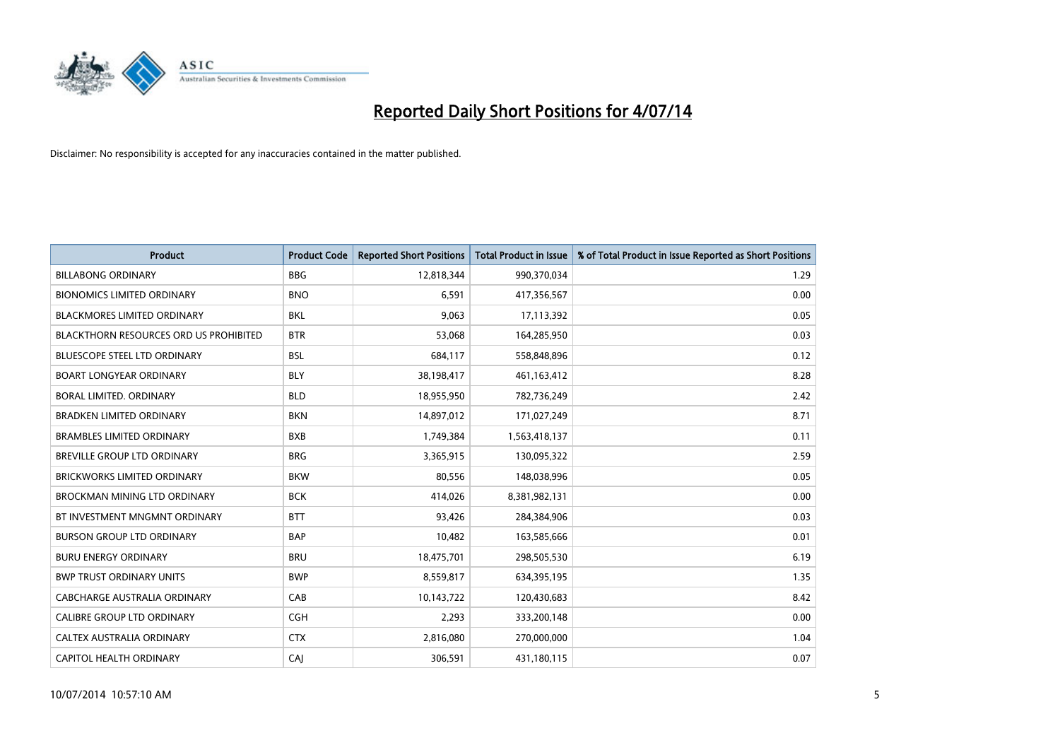

| <b>Product</b>                         | <b>Product Code</b> | <b>Reported Short Positions</b> | <b>Total Product in Issue</b> | % of Total Product in Issue Reported as Short Positions |
|----------------------------------------|---------------------|---------------------------------|-------------------------------|---------------------------------------------------------|
| <b>BILLABONG ORDINARY</b>              | <b>BBG</b>          | 12,818,344                      | 990,370,034                   | 1.29                                                    |
| <b>BIONOMICS LIMITED ORDINARY</b>      | <b>BNO</b>          | 6,591                           | 417,356,567                   | 0.00                                                    |
| <b>BLACKMORES LIMITED ORDINARY</b>     | <b>BKL</b>          | 9,063                           | 17,113,392                    | 0.05                                                    |
| BLACKTHORN RESOURCES ORD US PROHIBITED | <b>BTR</b>          | 53,068                          | 164,285,950                   | 0.03                                                    |
| <b>BLUESCOPE STEEL LTD ORDINARY</b>    | <b>BSL</b>          | 684,117                         | 558,848,896                   | 0.12                                                    |
| <b>BOART LONGYEAR ORDINARY</b>         | <b>BLY</b>          | 38,198,417                      | 461,163,412                   | 8.28                                                    |
| <b>BORAL LIMITED, ORDINARY</b>         | <b>BLD</b>          | 18,955,950                      | 782,736,249                   | 2.42                                                    |
| <b>BRADKEN LIMITED ORDINARY</b>        | <b>BKN</b>          | 14,897,012                      | 171,027,249                   | 8.71                                                    |
| <b>BRAMBLES LIMITED ORDINARY</b>       | <b>BXB</b>          | 1,749,384                       | 1,563,418,137                 | 0.11                                                    |
| <b>BREVILLE GROUP LTD ORDINARY</b>     | <b>BRG</b>          | 3,365,915                       | 130,095,322                   | 2.59                                                    |
| BRICKWORKS LIMITED ORDINARY            | <b>BKW</b>          | 80,556                          | 148,038,996                   | 0.05                                                    |
| BROCKMAN MINING LTD ORDINARY           | <b>BCK</b>          | 414,026                         | 8,381,982,131                 | 0.00                                                    |
| BT INVESTMENT MNGMNT ORDINARY          | <b>BTT</b>          | 93,426                          | 284,384,906                   | 0.03                                                    |
| <b>BURSON GROUP LTD ORDINARY</b>       | <b>BAP</b>          | 10,482                          | 163,585,666                   | 0.01                                                    |
| <b>BURU ENERGY ORDINARY</b>            | <b>BRU</b>          | 18,475,701                      | 298,505,530                   | 6.19                                                    |
| <b>BWP TRUST ORDINARY UNITS</b>        | <b>BWP</b>          | 8,559,817                       | 634,395,195                   | 1.35                                                    |
| CABCHARGE AUSTRALIA ORDINARY           | CAB                 | 10,143,722                      | 120,430,683                   | 8.42                                                    |
| CALIBRE GROUP LTD ORDINARY             | <b>CGH</b>          | 2,293                           | 333,200,148                   | 0.00                                                    |
| CALTEX AUSTRALIA ORDINARY              | <b>CTX</b>          | 2,816,080                       | 270,000,000                   | 1.04                                                    |
| CAPITOL HEALTH ORDINARY                | CAJ                 | 306,591                         | 431,180,115                   | 0.07                                                    |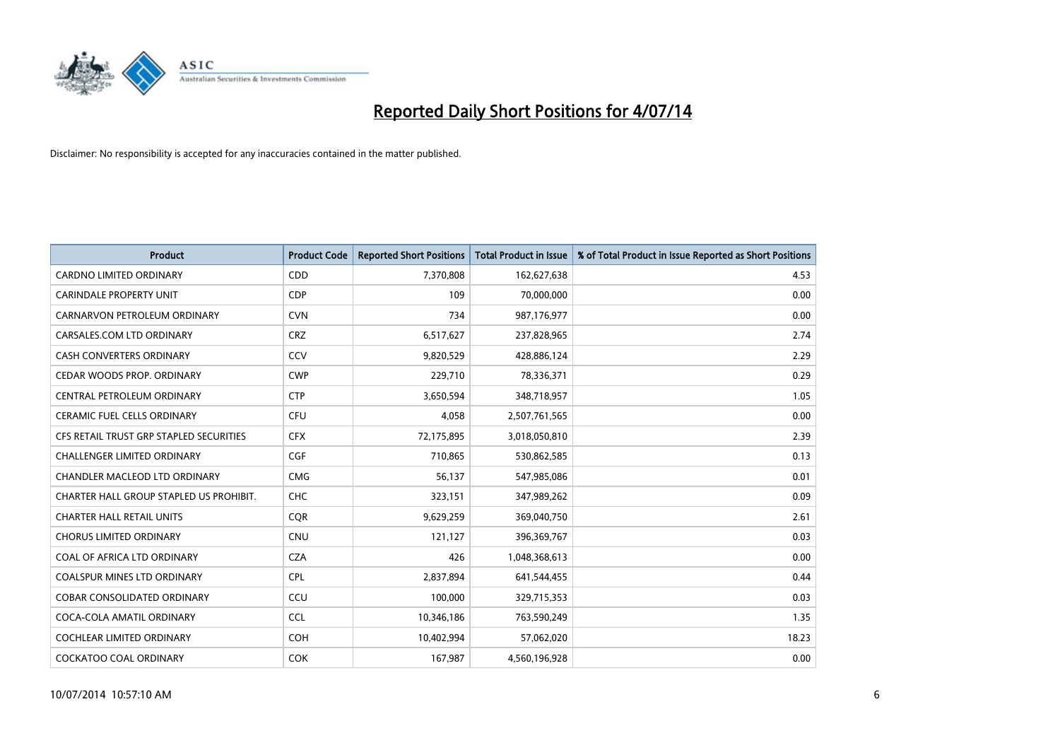

| <b>Product</b>                          | <b>Product Code</b> | <b>Reported Short Positions</b> | <b>Total Product in Issue</b> | % of Total Product in Issue Reported as Short Positions |
|-----------------------------------------|---------------------|---------------------------------|-------------------------------|---------------------------------------------------------|
| <b>CARDNO LIMITED ORDINARY</b>          | CDD                 | 7,370,808                       | 162,627,638                   | 4.53                                                    |
| <b>CARINDALE PROPERTY UNIT</b>          | <b>CDP</b>          | 109                             | 70,000,000                    | 0.00                                                    |
| CARNARVON PETROLEUM ORDINARY            | <b>CVN</b>          | 734                             | 987,176,977                   | 0.00                                                    |
| CARSALES.COM LTD ORDINARY               | <b>CRZ</b>          | 6,517,627                       | 237,828,965                   | 2.74                                                    |
| <b>CASH CONVERTERS ORDINARY</b>         | CCV                 | 9,820,529                       | 428,886,124                   | 2.29                                                    |
| CEDAR WOODS PROP. ORDINARY              | <b>CWP</b>          | 229,710                         | 78,336,371                    | 0.29                                                    |
| CENTRAL PETROLEUM ORDINARY              | <b>CTP</b>          | 3,650,594                       | 348,718,957                   | 1.05                                                    |
| CERAMIC FUEL CELLS ORDINARY             | <b>CFU</b>          | 4,058                           | 2,507,761,565                 | 0.00                                                    |
| CFS RETAIL TRUST GRP STAPLED SECURITIES | <b>CFX</b>          | 72,175,895                      | 3,018,050,810                 | 2.39                                                    |
| <b>CHALLENGER LIMITED ORDINARY</b>      | <b>CGF</b>          | 710,865                         | 530,862,585                   | 0.13                                                    |
| CHANDLER MACLEOD LTD ORDINARY           | <b>CMG</b>          | 56,137                          | 547,985,086                   | 0.01                                                    |
| CHARTER HALL GROUP STAPLED US PROHIBIT. | <b>CHC</b>          | 323,151                         | 347,989,262                   | 0.09                                                    |
| <b>CHARTER HALL RETAIL UNITS</b>        | <b>COR</b>          | 9,629,259                       | 369,040,750                   | 2.61                                                    |
| <b>CHORUS LIMITED ORDINARY</b>          | <b>CNU</b>          | 121,127                         | 396,369,767                   | 0.03                                                    |
| COAL OF AFRICA LTD ORDINARY             | <b>CZA</b>          | 426                             | 1,048,368,613                 | 0.00                                                    |
| COALSPUR MINES LTD ORDINARY             | <b>CPL</b>          | 2,837,894                       | 641,544,455                   | 0.44                                                    |
| COBAR CONSOLIDATED ORDINARY             | CCU                 | 100,000                         | 329,715,353                   | 0.03                                                    |
| COCA-COLA AMATIL ORDINARY               | <b>CCL</b>          | 10,346,186                      | 763,590,249                   | 1.35                                                    |
| <b>COCHLEAR LIMITED ORDINARY</b>        | <b>COH</b>          | 10,402,994                      | 57,062,020                    | 18.23                                                   |
| <b>COCKATOO COAL ORDINARY</b>           | <b>COK</b>          | 167,987                         | 4,560,196,928                 | 0.00                                                    |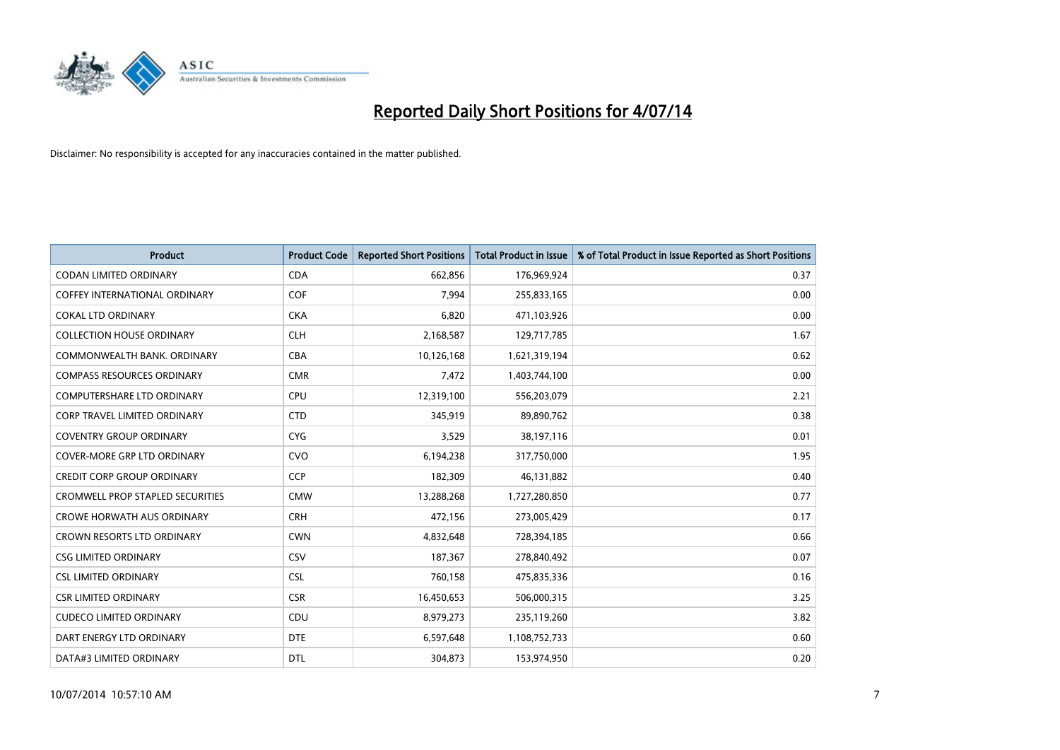

| <b>Product</b>                          | <b>Product Code</b> | <b>Reported Short Positions</b> | <b>Total Product in Issue</b> | % of Total Product in Issue Reported as Short Positions |
|-----------------------------------------|---------------------|---------------------------------|-------------------------------|---------------------------------------------------------|
| <b>CODAN LIMITED ORDINARY</b>           | <b>CDA</b>          | 662,856                         | 176,969,924                   | 0.37                                                    |
| COFFEY INTERNATIONAL ORDINARY           | <b>COF</b>          | 7,994                           | 255,833,165                   | 0.00                                                    |
| <b>COKAL LTD ORDINARY</b>               | <b>CKA</b>          | 6,820                           | 471,103,926                   | 0.00                                                    |
| <b>COLLECTION HOUSE ORDINARY</b>        | <b>CLH</b>          | 2,168,587                       | 129,717,785                   | 1.67                                                    |
| COMMONWEALTH BANK, ORDINARY             | <b>CBA</b>          | 10,126,168                      | 1,621,319,194                 | 0.62                                                    |
| <b>COMPASS RESOURCES ORDINARY</b>       | <b>CMR</b>          | 7,472                           | 1,403,744,100                 | 0.00                                                    |
| <b>COMPUTERSHARE LTD ORDINARY</b>       | <b>CPU</b>          | 12,319,100                      | 556,203,079                   | 2.21                                                    |
| <b>CORP TRAVEL LIMITED ORDINARY</b>     | <b>CTD</b>          | 345,919                         | 89,890,762                    | 0.38                                                    |
| <b>COVENTRY GROUP ORDINARY</b>          | <b>CYG</b>          | 3,529                           | 38,197,116                    | 0.01                                                    |
| <b>COVER-MORE GRP LTD ORDINARY</b>      | <b>CVO</b>          | 6,194,238                       | 317,750,000                   | 1.95                                                    |
| <b>CREDIT CORP GROUP ORDINARY</b>       | <b>CCP</b>          | 182,309                         | 46,131,882                    | 0.40                                                    |
| <b>CROMWELL PROP STAPLED SECURITIES</b> | <b>CMW</b>          | 13,288,268                      | 1,727,280,850                 | 0.77                                                    |
| <b>CROWE HORWATH AUS ORDINARY</b>       | <b>CRH</b>          | 472,156                         | 273,005,429                   | 0.17                                                    |
| <b>CROWN RESORTS LTD ORDINARY</b>       | <b>CWN</b>          | 4,832,648                       | 728,394,185                   | 0.66                                                    |
| <b>CSG LIMITED ORDINARY</b>             | CSV                 | 187,367                         | 278,840,492                   | 0.07                                                    |
| <b>CSL LIMITED ORDINARY</b>             | <b>CSL</b>          | 760,158                         | 475,835,336                   | 0.16                                                    |
| <b>CSR LIMITED ORDINARY</b>             | <b>CSR</b>          | 16,450,653                      | 506,000,315                   | 3.25                                                    |
| <b>CUDECO LIMITED ORDINARY</b>          | CDU                 | 8,979,273                       | 235,119,260                   | 3.82                                                    |
| DART ENERGY LTD ORDINARY                | <b>DTE</b>          | 6,597,648                       | 1,108,752,733                 | 0.60                                                    |
| DATA#3 LIMITED ORDINARY                 | <b>DTL</b>          | 304,873                         | 153,974,950                   | 0.20                                                    |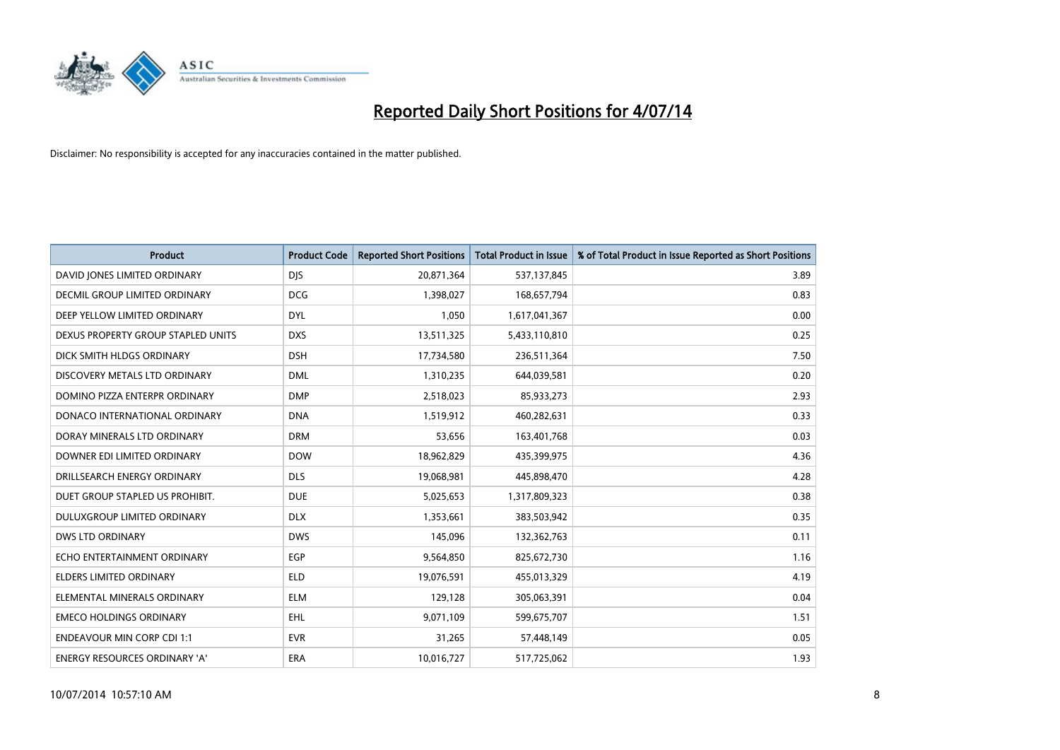

| <b>Product</b>                     | <b>Product Code</b> | <b>Reported Short Positions</b> | <b>Total Product in Issue</b> | % of Total Product in Issue Reported as Short Positions |
|------------------------------------|---------------------|---------------------------------|-------------------------------|---------------------------------------------------------|
| DAVID JONES LIMITED ORDINARY       | <b>DJS</b>          | 20,871,364                      | 537,137,845                   | 3.89                                                    |
| DECMIL GROUP LIMITED ORDINARY      | <b>DCG</b>          | 1,398,027                       | 168,657,794                   | 0.83                                                    |
| DEEP YELLOW LIMITED ORDINARY       | <b>DYL</b>          | 1,050                           | 1,617,041,367                 | 0.00                                                    |
| DEXUS PROPERTY GROUP STAPLED UNITS | <b>DXS</b>          | 13,511,325                      | 5,433,110,810                 | 0.25                                                    |
| DICK SMITH HLDGS ORDINARY          | <b>DSH</b>          | 17,734,580                      | 236,511,364                   | 7.50                                                    |
| DISCOVERY METALS LTD ORDINARY      | <b>DML</b>          | 1,310,235                       | 644,039,581                   | 0.20                                                    |
| DOMINO PIZZA ENTERPR ORDINARY      | <b>DMP</b>          | 2,518,023                       | 85,933,273                    | 2.93                                                    |
| DONACO INTERNATIONAL ORDINARY      | <b>DNA</b>          | 1,519,912                       | 460,282,631                   | 0.33                                                    |
| DORAY MINERALS LTD ORDINARY        | <b>DRM</b>          | 53,656                          | 163,401,768                   | 0.03                                                    |
| DOWNER EDI LIMITED ORDINARY        | <b>DOW</b>          | 18,962,829                      | 435,399,975                   | 4.36                                                    |
| DRILLSEARCH ENERGY ORDINARY        | <b>DLS</b>          | 19,068,981                      | 445,898,470                   | 4.28                                                    |
| DUET GROUP STAPLED US PROHIBIT.    | <b>DUE</b>          | 5,025,653                       | 1,317,809,323                 | 0.38                                                    |
| DULUXGROUP LIMITED ORDINARY        | <b>DLX</b>          | 1,353,661                       | 383,503,942                   | 0.35                                                    |
| DWS LTD ORDINARY                   | <b>DWS</b>          | 145,096                         | 132,362,763                   | 0.11                                                    |
| ECHO ENTERTAINMENT ORDINARY        | EGP                 | 9,564,850                       | 825,672,730                   | 1.16                                                    |
| ELDERS LIMITED ORDINARY            | <b>ELD</b>          | 19,076,591                      | 455,013,329                   | 4.19                                                    |
| ELEMENTAL MINERALS ORDINARY        | <b>ELM</b>          | 129,128                         | 305,063,391                   | 0.04                                                    |
| <b>EMECO HOLDINGS ORDINARY</b>     | <b>EHL</b>          | 9,071,109                       | 599,675,707                   | 1.51                                                    |
| <b>ENDEAVOUR MIN CORP CDI 1:1</b>  | <b>EVR</b>          | 31,265                          | 57,448,149                    | 0.05                                                    |
| ENERGY RESOURCES ORDINARY 'A'      | ERA                 | 10,016,727                      | 517,725,062                   | 1.93                                                    |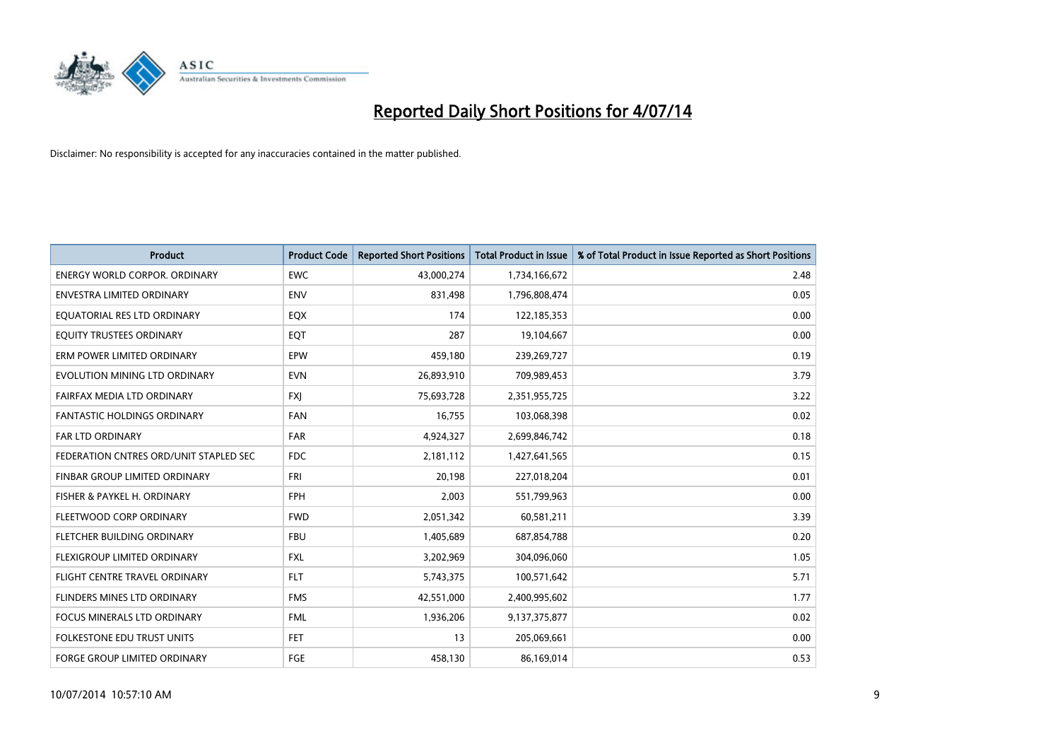

| <b>Product</b>                         | <b>Product Code</b> | <b>Reported Short Positions</b> | <b>Total Product in Issue</b> | % of Total Product in Issue Reported as Short Positions |
|----------------------------------------|---------------------|---------------------------------|-------------------------------|---------------------------------------------------------|
| <b>ENERGY WORLD CORPOR, ORDINARY</b>   | <b>EWC</b>          | 43,000,274                      | 1,734,166,672                 | 2.48                                                    |
| ENVESTRA LIMITED ORDINARY              | <b>ENV</b>          | 831,498                         | 1,796,808,474                 | 0.05                                                    |
| EQUATORIAL RES LTD ORDINARY            | EQX                 | 174                             | 122,185,353                   | 0.00                                                    |
| EQUITY TRUSTEES ORDINARY               | EQT                 | 287                             | 19,104,667                    | 0.00                                                    |
| ERM POWER LIMITED ORDINARY             | EPW                 | 459,180                         | 239,269,727                   | 0.19                                                    |
| EVOLUTION MINING LTD ORDINARY          | <b>EVN</b>          | 26,893,910                      | 709,989,453                   | 3.79                                                    |
| FAIRFAX MEDIA LTD ORDINARY             | <b>FXJ</b>          | 75,693,728                      | 2,351,955,725                 | 3.22                                                    |
| <b>FANTASTIC HOLDINGS ORDINARY</b>     | <b>FAN</b>          | 16,755                          | 103,068,398                   | 0.02                                                    |
| FAR LTD ORDINARY                       | FAR                 | 4,924,327                       | 2,699,846,742                 | 0.18                                                    |
| FEDERATION CNTRES ORD/UNIT STAPLED SEC | <b>FDC</b>          | 2,181,112                       | 1,427,641,565                 | 0.15                                                    |
| FINBAR GROUP LIMITED ORDINARY          | FRI                 | 20,198                          | 227,018,204                   | 0.01                                                    |
| FISHER & PAYKEL H. ORDINARY            | <b>FPH</b>          | 2,003                           | 551,799,963                   | 0.00                                                    |
| FLEETWOOD CORP ORDINARY                | <b>FWD</b>          | 2,051,342                       | 60,581,211                    | 3.39                                                    |
| FLETCHER BUILDING ORDINARY             | <b>FBU</b>          | 1,405,689                       | 687,854,788                   | 0.20                                                    |
| FLEXIGROUP LIMITED ORDINARY            | FXL                 | 3,202,969                       | 304,096,060                   | 1.05                                                    |
| FLIGHT CENTRE TRAVEL ORDINARY          | <b>FLT</b>          | 5,743,375                       | 100,571,642                   | 5.71                                                    |
| FLINDERS MINES LTD ORDINARY            | <b>FMS</b>          | 42,551,000                      | 2,400,995,602                 | 1.77                                                    |
| FOCUS MINERALS LTD ORDINARY            | <b>FML</b>          | 1,936,206                       | 9,137,375,877                 | 0.02                                                    |
| <b>FOLKESTONE EDU TRUST UNITS</b>      | <b>FET</b>          | 13                              | 205,069,661                   | 0.00                                                    |
| <b>FORGE GROUP LIMITED ORDINARY</b>    | FGE                 | 458,130                         | 86,169,014                    | 0.53                                                    |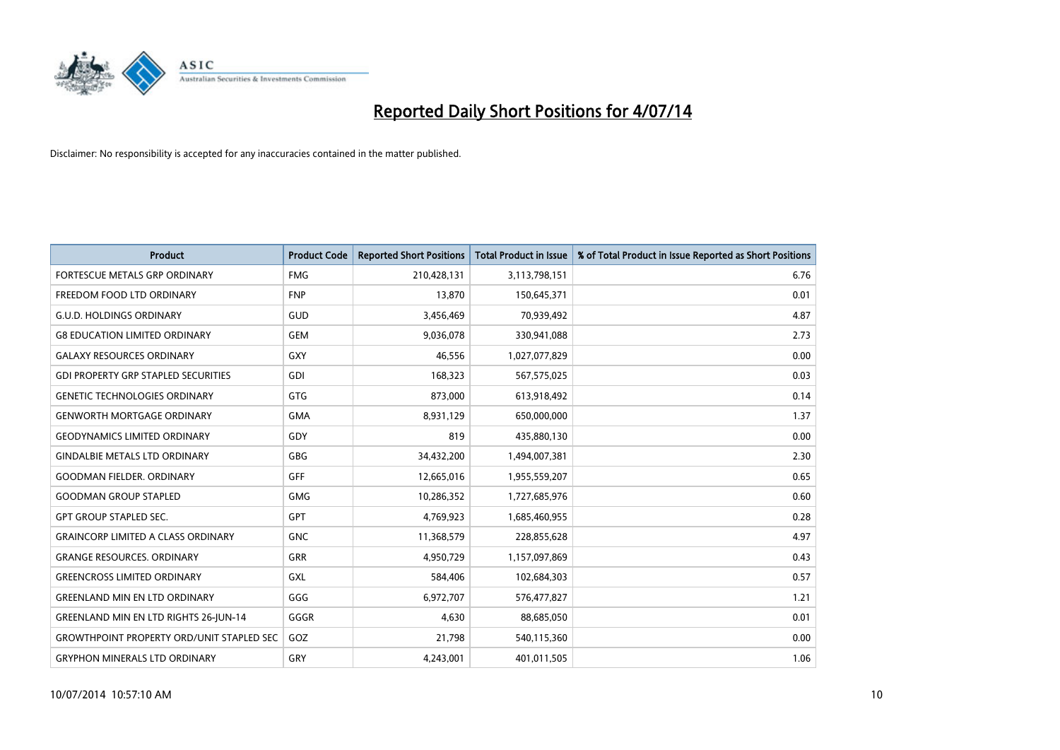

| <b>Product</b>                                   | <b>Product Code</b> | <b>Reported Short Positions</b> | <b>Total Product in Issue</b> | % of Total Product in Issue Reported as Short Positions |
|--------------------------------------------------|---------------------|---------------------------------|-------------------------------|---------------------------------------------------------|
| FORTESCUE METALS GRP ORDINARY                    | <b>FMG</b>          | 210,428,131                     | 3,113,798,151                 | 6.76                                                    |
| FREEDOM FOOD LTD ORDINARY                        | <b>FNP</b>          | 13,870                          | 150,645,371                   | 0.01                                                    |
| <b>G.U.D. HOLDINGS ORDINARY</b>                  | GUD                 | 3,456,469                       | 70,939,492                    | 4.87                                                    |
| <b>G8 EDUCATION LIMITED ORDINARY</b>             | <b>GEM</b>          | 9,036,078                       | 330,941,088                   | 2.73                                                    |
| <b>GALAXY RESOURCES ORDINARY</b>                 | <b>GXY</b>          | 46,556                          | 1,027,077,829                 | 0.00                                                    |
| <b>GDI PROPERTY GRP STAPLED SECURITIES</b>       | <b>GDI</b>          | 168,323                         | 567,575,025                   | 0.03                                                    |
| <b>GENETIC TECHNOLOGIES ORDINARY</b>             | <b>GTG</b>          | 873,000                         | 613,918,492                   | 0.14                                                    |
| <b>GENWORTH MORTGAGE ORDINARY</b>                | <b>GMA</b>          | 8,931,129                       | 650,000,000                   | 1.37                                                    |
| <b>GEODYNAMICS LIMITED ORDINARY</b>              | GDY                 | 819                             | 435,880,130                   | 0.00                                                    |
| <b>GINDALBIE METALS LTD ORDINARY</b>             | GBG                 | 34,432,200                      | 1,494,007,381                 | 2.30                                                    |
| <b>GOODMAN FIELDER, ORDINARY</b>                 | <b>GFF</b>          | 12,665,016                      | 1,955,559,207                 | 0.65                                                    |
| <b>GOODMAN GROUP STAPLED</b>                     | <b>GMG</b>          | 10,286,352                      | 1,727,685,976                 | 0.60                                                    |
| <b>GPT GROUP STAPLED SEC.</b>                    | <b>GPT</b>          | 4,769,923                       | 1,685,460,955                 | 0.28                                                    |
| <b>GRAINCORP LIMITED A CLASS ORDINARY</b>        | <b>GNC</b>          | 11,368,579                      | 228,855,628                   | 4.97                                                    |
| <b>GRANGE RESOURCES, ORDINARY</b>                | <b>GRR</b>          | 4,950,729                       | 1,157,097,869                 | 0.43                                                    |
| <b>GREENCROSS LIMITED ORDINARY</b>               | GXL                 | 584,406                         | 102,684,303                   | 0.57                                                    |
| <b>GREENLAND MIN EN LTD ORDINARY</b>             | GGG                 | 6,972,707                       | 576,477,827                   | 1.21                                                    |
| GREENLAND MIN EN LTD RIGHTS 26-JUN-14            | GGGR                | 4,630                           | 88,685,050                    | 0.01                                                    |
| <b>GROWTHPOINT PROPERTY ORD/UNIT STAPLED SEC</b> | GOZ                 | 21,798                          | 540,115,360                   | 0.00                                                    |
| <b>GRYPHON MINERALS LTD ORDINARY</b>             | GRY                 | 4,243,001                       | 401,011,505                   | 1.06                                                    |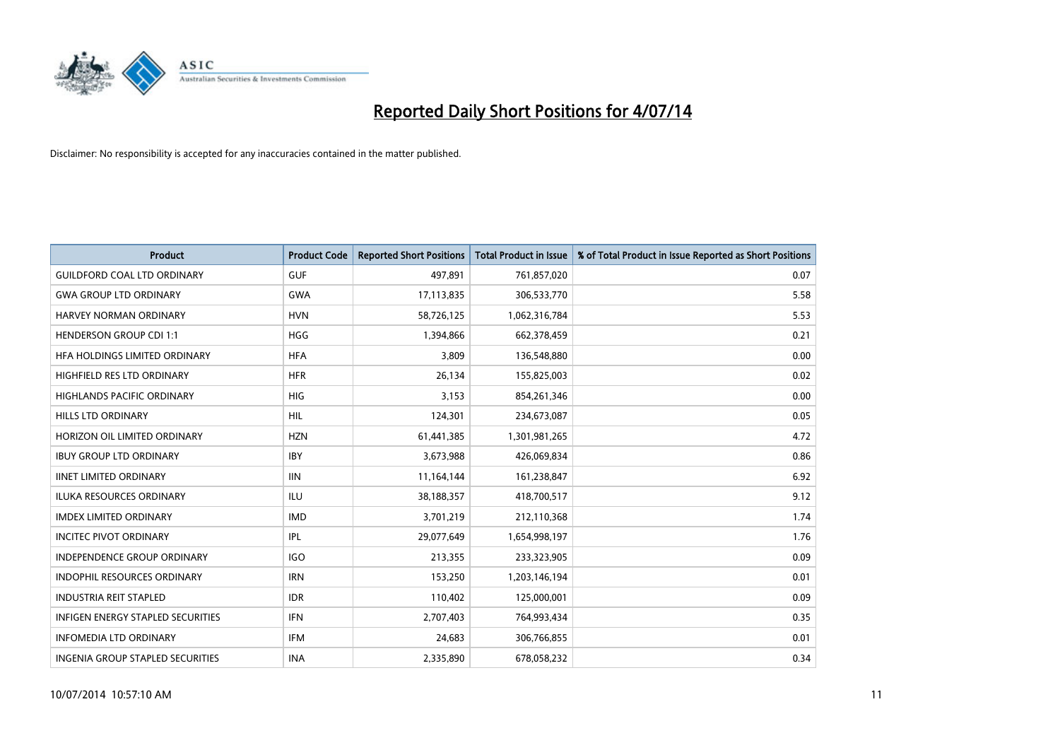

| <b>Product</b>                           | <b>Product Code</b> | <b>Reported Short Positions</b> | <b>Total Product in Issue</b> | % of Total Product in Issue Reported as Short Positions |
|------------------------------------------|---------------------|---------------------------------|-------------------------------|---------------------------------------------------------|
| <b>GUILDFORD COAL LTD ORDINARY</b>       | <b>GUF</b>          | 497,891                         | 761,857,020                   | 0.07                                                    |
| <b>GWA GROUP LTD ORDINARY</b>            | <b>GWA</b>          | 17,113,835                      | 306,533,770                   | 5.58                                                    |
| HARVEY NORMAN ORDINARY                   | <b>HVN</b>          | 58,726,125                      | 1,062,316,784                 | 5.53                                                    |
| <b>HENDERSON GROUP CDI 1:1</b>           | HGG                 | 1,394,866                       | 662,378,459                   | 0.21                                                    |
| HFA HOLDINGS LIMITED ORDINARY            | <b>HFA</b>          | 3,809                           | 136,548,880                   | 0.00                                                    |
| HIGHFIELD RES LTD ORDINARY               | <b>HFR</b>          | 26,134                          | 155,825,003                   | 0.02                                                    |
| <b>HIGHLANDS PACIFIC ORDINARY</b>        | <b>HIG</b>          | 3,153                           | 854,261,346                   | 0.00                                                    |
| <b>HILLS LTD ORDINARY</b>                | HIL                 | 124,301                         | 234,673,087                   | 0.05                                                    |
| HORIZON OIL LIMITED ORDINARY             | <b>HZN</b>          | 61,441,385                      | 1,301,981,265                 | 4.72                                                    |
| <b>IBUY GROUP LTD ORDINARY</b>           | <b>IBY</b>          | 3,673,988                       | 426,069,834                   | 0.86                                                    |
| <b>IINET LIMITED ORDINARY</b>            | <b>IIN</b>          | 11,164,144                      | 161,238,847                   | 6.92                                                    |
| <b>ILUKA RESOURCES ORDINARY</b>          | <b>ILU</b>          | 38,188,357                      | 418,700,517                   | 9.12                                                    |
| <b>IMDEX LIMITED ORDINARY</b>            | <b>IMD</b>          | 3,701,219                       | 212,110,368                   | 1.74                                                    |
| <b>INCITEC PIVOT ORDINARY</b>            | IPL                 | 29,077,649                      | 1,654,998,197                 | 1.76                                                    |
| <b>INDEPENDENCE GROUP ORDINARY</b>       | IGO                 | 213,355                         | 233,323,905                   | 0.09                                                    |
| INDOPHIL RESOURCES ORDINARY              | <b>IRN</b>          | 153,250                         | 1,203,146,194                 | 0.01                                                    |
| <b>INDUSTRIA REIT STAPLED</b>            | <b>IDR</b>          | 110,402                         | 125,000,001                   | 0.09                                                    |
| <b>INFIGEN ENERGY STAPLED SECURITIES</b> | <b>IFN</b>          | 2,707,403                       | 764,993,434                   | 0.35                                                    |
| <b>INFOMEDIA LTD ORDINARY</b>            | <b>IFM</b>          | 24,683                          | 306,766,855                   | 0.01                                                    |
| <b>INGENIA GROUP STAPLED SECURITIES</b>  | <b>INA</b>          | 2,335,890                       | 678,058,232                   | 0.34                                                    |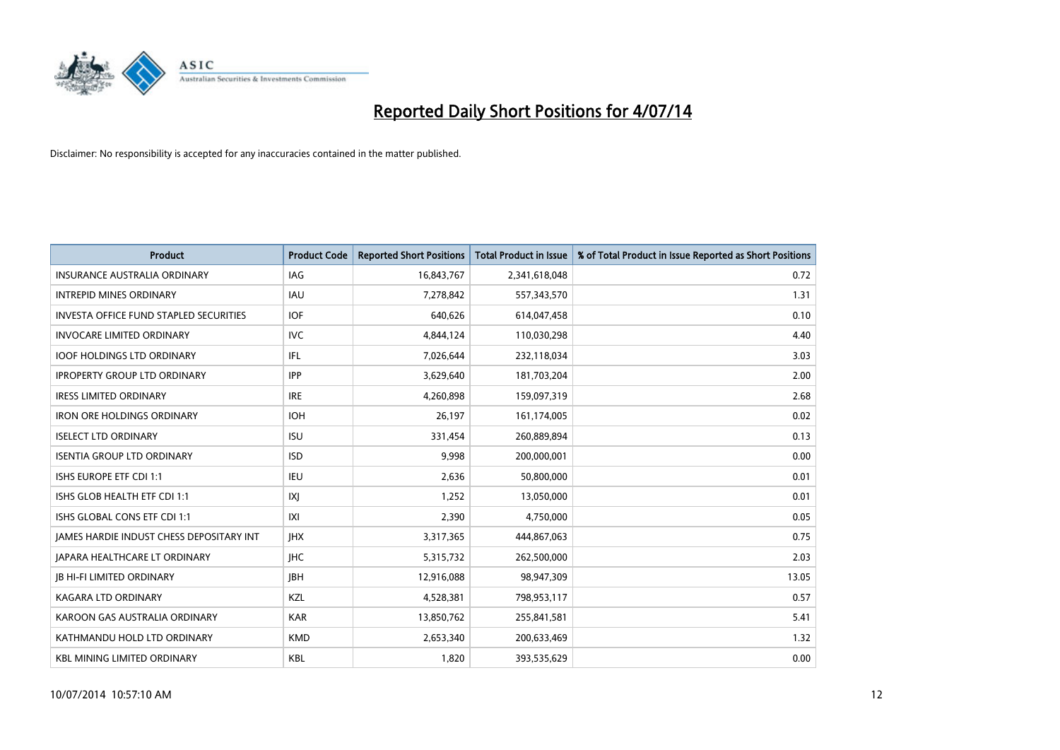

| <b>Product</b>                                | <b>Product Code</b> | <b>Reported Short Positions</b> | <b>Total Product in Issue</b> | % of Total Product in Issue Reported as Short Positions |
|-----------------------------------------------|---------------------|---------------------------------|-------------------------------|---------------------------------------------------------|
| <b>INSURANCE AUSTRALIA ORDINARY</b>           | IAG                 | 16,843,767                      | 2,341,618,048                 | 0.72                                                    |
| <b>INTREPID MINES ORDINARY</b>                | <b>IAU</b>          | 7,278,842                       | 557,343,570                   | 1.31                                                    |
| <b>INVESTA OFFICE FUND STAPLED SECURITIES</b> | <b>IOF</b>          | 640,626                         | 614,047,458                   | 0.10                                                    |
| <b>INVOCARE LIMITED ORDINARY</b>              | <b>IVC</b>          | 4,844,124                       | 110,030,298                   | 4.40                                                    |
| <b>IOOF HOLDINGS LTD ORDINARY</b>             | IFL                 | 7,026,644                       | 232,118,034                   | 3.03                                                    |
| <b>IPROPERTY GROUP LTD ORDINARY</b>           | <b>IPP</b>          | 3,629,640                       | 181,703,204                   | 2.00                                                    |
| <b>IRESS LIMITED ORDINARY</b>                 | <b>IRE</b>          | 4.260.898                       | 159,097,319                   | 2.68                                                    |
| <b>IRON ORE HOLDINGS ORDINARY</b>             | <b>IOH</b>          | 26,197                          | 161,174,005                   | 0.02                                                    |
| <b>ISELECT LTD ORDINARY</b>                   | <b>ISU</b>          | 331,454                         | 260,889,894                   | 0.13                                                    |
| <b>ISENTIA GROUP LTD ORDINARY</b>             | <b>ISD</b>          | 9,998                           | 200,000,001                   | 0.00                                                    |
| ISHS EUROPE ETF CDI 1:1                       | IEU                 | 2,636                           | 50,800,000                    | 0.01                                                    |
| ISHS GLOB HEALTH ETF CDI 1:1                  | IXJ                 | 1,252                           | 13,050,000                    | 0.01                                                    |
| ISHS GLOBAL CONS ETF CDI 1:1                  | X                   | 2.390                           | 4,750,000                     | 0.05                                                    |
| JAMES HARDIE INDUST CHESS DEPOSITARY INT      | <b>IHX</b>          | 3,317,365                       | 444,867,063                   | 0.75                                                    |
| <b>JAPARA HEALTHCARE LT ORDINARY</b>          | <b>IHC</b>          | 5,315,732                       | 262,500,000                   | 2.03                                                    |
| <b>JB HI-FI LIMITED ORDINARY</b>              | <b>IBH</b>          | 12,916,088                      | 98,947,309                    | 13.05                                                   |
| <b>KAGARA LTD ORDINARY</b>                    | KZL                 | 4,528,381                       | 798,953,117                   | 0.57                                                    |
| KAROON GAS AUSTRALIA ORDINARY                 | <b>KAR</b>          | 13,850,762                      | 255,841,581                   | 5.41                                                    |
| KATHMANDU HOLD LTD ORDINARY                   | <b>KMD</b>          | 2,653,340                       | 200,633,469                   | 1.32                                                    |
| <b>KBL MINING LIMITED ORDINARY</b>            | <b>KBL</b>          | 1,820                           | 393,535,629                   | 0.00                                                    |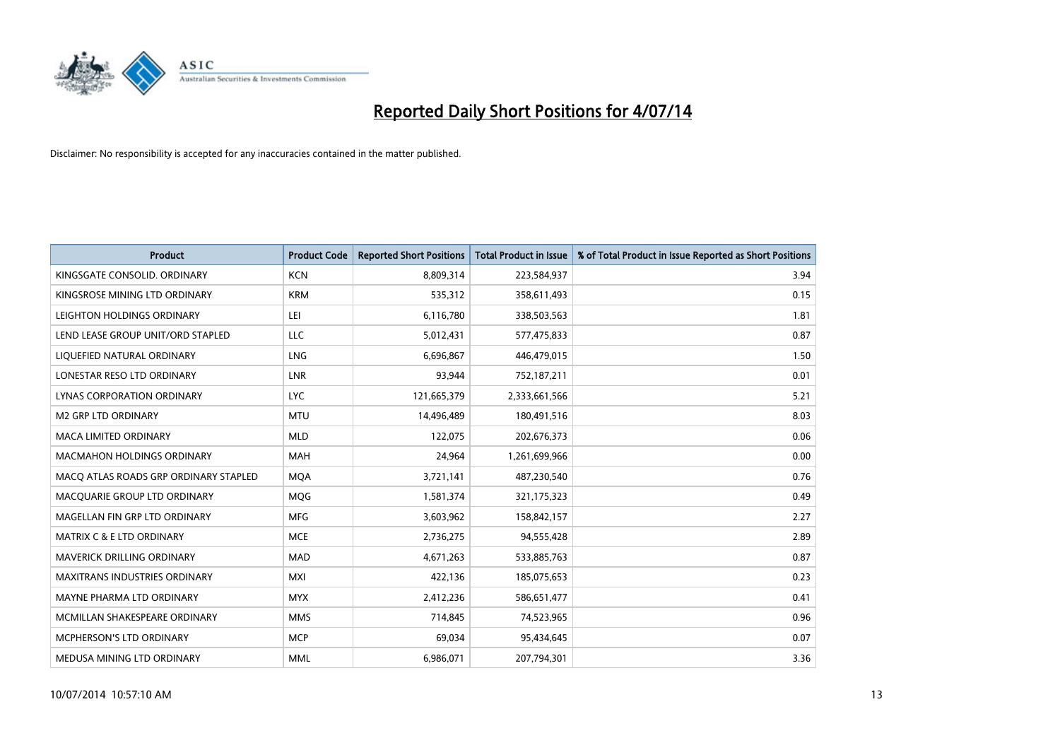

| <b>Product</b>                        | <b>Product Code</b> | <b>Reported Short Positions</b> | <b>Total Product in Issue</b> | % of Total Product in Issue Reported as Short Positions |
|---------------------------------------|---------------------|---------------------------------|-------------------------------|---------------------------------------------------------|
| KINGSGATE CONSOLID. ORDINARY          | <b>KCN</b>          | 8,809,314                       | 223,584,937                   | 3.94                                                    |
| KINGSROSE MINING LTD ORDINARY         | <b>KRM</b>          | 535,312                         | 358,611,493                   | 0.15                                                    |
| LEIGHTON HOLDINGS ORDINARY            | LEI                 | 6,116,780                       | 338,503,563                   | 1.81                                                    |
| LEND LEASE GROUP UNIT/ORD STAPLED     | LLC                 | 5,012,431                       | 577,475,833                   | 0.87                                                    |
| LIQUEFIED NATURAL ORDINARY            | LNG                 | 6,696,867                       | 446,479,015                   | 1.50                                                    |
| LONESTAR RESO LTD ORDINARY            | <b>LNR</b>          | 93,944                          | 752,187,211                   | 0.01                                                    |
| LYNAS CORPORATION ORDINARY            | <b>LYC</b>          | 121,665,379                     | 2,333,661,566                 | 5.21                                                    |
| <b>M2 GRP LTD ORDINARY</b>            | <b>MTU</b>          | 14,496,489                      | 180,491,516                   | 8.03                                                    |
| <b>MACA LIMITED ORDINARY</b>          | <b>MLD</b>          | 122,075                         | 202,676,373                   | 0.06                                                    |
| <b>MACMAHON HOLDINGS ORDINARY</b>     | <b>MAH</b>          | 24,964                          | 1,261,699,966                 | 0.00                                                    |
| MACO ATLAS ROADS GRP ORDINARY STAPLED | <b>MOA</b>          | 3,721,141                       | 487,230,540                   | 0.76                                                    |
| MACQUARIE GROUP LTD ORDINARY          | <b>MQG</b>          | 1,581,374                       | 321,175,323                   | 0.49                                                    |
| MAGELLAN FIN GRP LTD ORDINARY         | <b>MFG</b>          | 3,603,962                       | 158,842,157                   | 2.27                                                    |
| <b>MATRIX C &amp; E LTD ORDINARY</b>  | <b>MCE</b>          | 2,736,275                       | 94,555,428                    | 2.89                                                    |
| <b>MAVERICK DRILLING ORDINARY</b>     | <b>MAD</b>          | 4,671,263                       | 533,885,763                   | 0.87                                                    |
| MAXITRANS INDUSTRIES ORDINARY         | <b>MXI</b>          | 422,136                         | 185,075,653                   | 0.23                                                    |
| MAYNE PHARMA LTD ORDINARY             | <b>MYX</b>          | 2,412,236                       | 586,651,477                   | 0.41                                                    |
| MCMILLAN SHAKESPEARE ORDINARY         | <b>MMS</b>          | 714,845                         | 74,523,965                    | 0.96                                                    |
| <b>MCPHERSON'S LTD ORDINARY</b>       | <b>MCP</b>          | 69,034                          | 95,434,645                    | 0.07                                                    |
| MEDUSA MINING LTD ORDINARY            | <b>MML</b>          | 6,986,071                       | 207,794,301                   | 3.36                                                    |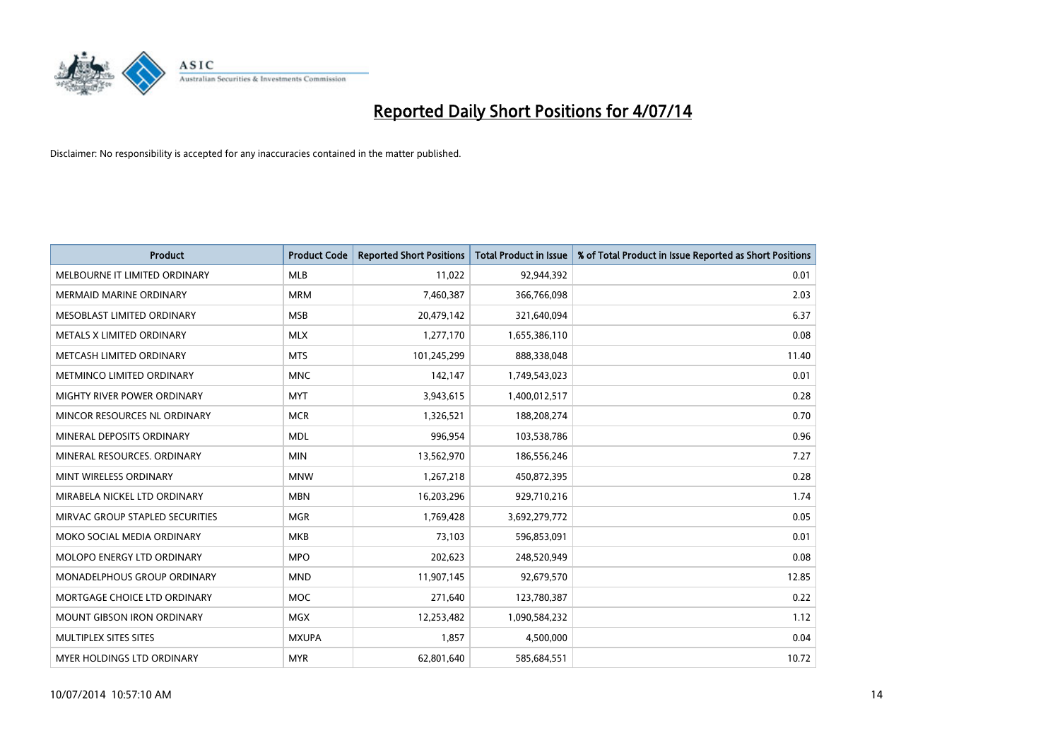

| <b>Product</b>                     | <b>Product Code</b> | <b>Reported Short Positions</b> | <b>Total Product in Issue</b> | % of Total Product in Issue Reported as Short Positions |
|------------------------------------|---------------------|---------------------------------|-------------------------------|---------------------------------------------------------|
| MELBOURNE IT LIMITED ORDINARY      | <b>MLB</b>          | 11,022                          | 92,944,392                    | 0.01                                                    |
| MERMAID MARINE ORDINARY            | <b>MRM</b>          | 7,460,387                       | 366,766,098                   | 2.03                                                    |
| MESOBLAST LIMITED ORDINARY         | <b>MSB</b>          | 20,479,142                      | 321,640,094                   | 6.37                                                    |
| METALS X LIMITED ORDINARY          | <b>MLX</b>          | 1,277,170                       | 1,655,386,110                 | 0.08                                                    |
| METCASH LIMITED ORDINARY           | <b>MTS</b>          | 101,245,299                     | 888,338,048                   | 11.40                                                   |
| METMINCO LIMITED ORDINARY          | <b>MNC</b>          | 142,147                         | 1,749,543,023                 | 0.01                                                    |
| <b>MIGHTY RIVER POWER ORDINARY</b> | <b>MYT</b>          | 3,943,615                       | 1,400,012,517                 | 0.28                                                    |
| MINCOR RESOURCES NL ORDINARY       | <b>MCR</b>          | 1,326,521                       | 188,208,274                   | 0.70                                                    |
| MINERAL DEPOSITS ORDINARY          | <b>MDL</b>          | 996,954                         | 103,538,786                   | 0.96                                                    |
| MINERAL RESOURCES, ORDINARY        | <b>MIN</b>          | 13,562,970                      | 186,556,246                   | 7.27                                                    |
| MINT WIRELESS ORDINARY             | <b>MNW</b>          | 1,267,218                       | 450,872,395                   | 0.28                                                    |
| MIRABELA NICKEL LTD ORDINARY       | <b>MBN</b>          | 16,203,296                      | 929,710,216                   | 1.74                                                    |
| MIRVAC GROUP STAPLED SECURITIES    | <b>MGR</b>          | 1,769,428                       | 3,692,279,772                 | 0.05                                                    |
| MOKO SOCIAL MEDIA ORDINARY         | <b>MKB</b>          | 73,103                          | 596,853,091                   | 0.01                                                    |
| MOLOPO ENERGY LTD ORDINARY         | <b>MPO</b>          | 202,623                         | 248,520,949                   | 0.08                                                    |
| MONADELPHOUS GROUP ORDINARY        | <b>MND</b>          | 11,907,145                      | 92,679,570                    | 12.85                                                   |
| MORTGAGE CHOICE LTD ORDINARY       | <b>MOC</b>          | 271,640                         | 123,780,387                   | 0.22                                                    |
| <b>MOUNT GIBSON IRON ORDINARY</b>  | <b>MGX</b>          | 12,253,482                      | 1,090,584,232                 | 1.12                                                    |
| MULTIPLEX SITES SITES              | <b>MXUPA</b>        | 1,857                           | 4,500,000                     | 0.04                                                    |
| MYER HOLDINGS LTD ORDINARY         | <b>MYR</b>          | 62,801,640                      | 585,684,551                   | 10.72                                                   |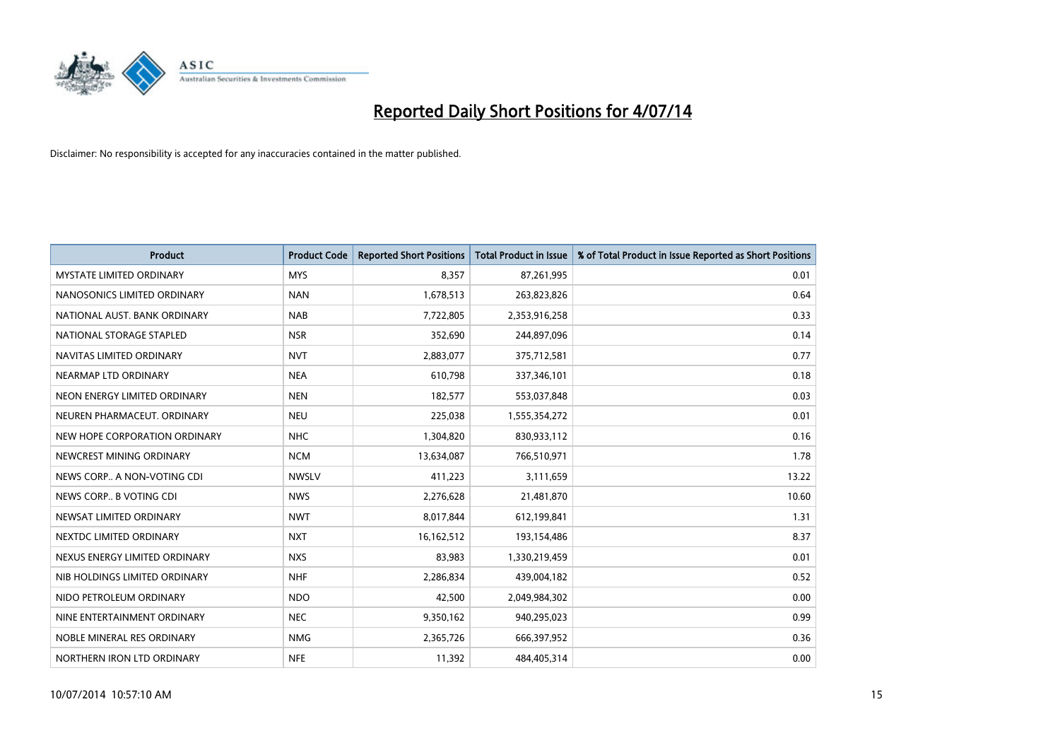

| <b>Product</b>                  | <b>Product Code</b> | <b>Reported Short Positions</b> | <b>Total Product in Issue</b> | % of Total Product in Issue Reported as Short Positions |
|---------------------------------|---------------------|---------------------------------|-------------------------------|---------------------------------------------------------|
| <b>MYSTATE LIMITED ORDINARY</b> | <b>MYS</b>          | 8,357                           | 87,261,995                    | 0.01                                                    |
| NANOSONICS LIMITED ORDINARY     | <b>NAN</b>          | 1,678,513                       | 263,823,826                   | 0.64                                                    |
| NATIONAL AUST. BANK ORDINARY    | <b>NAB</b>          | 7,722,805                       | 2,353,916,258                 | 0.33                                                    |
| NATIONAL STORAGE STAPLED        | <b>NSR</b>          | 352,690                         | 244,897,096                   | 0.14                                                    |
| NAVITAS LIMITED ORDINARY        | <b>NVT</b>          | 2,883,077                       | 375,712,581                   | 0.77                                                    |
| NEARMAP LTD ORDINARY            | <b>NEA</b>          | 610,798                         | 337,346,101                   | 0.18                                                    |
| NEON ENERGY LIMITED ORDINARY    | <b>NEN</b>          | 182,577                         | 553,037,848                   | 0.03                                                    |
| NEUREN PHARMACEUT. ORDINARY     | <b>NEU</b>          | 225,038                         | 1,555,354,272                 | 0.01                                                    |
| NEW HOPE CORPORATION ORDINARY   | <b>NHC</b>          | 1,304,820                       | 830,933,112                   | 0.16                                                    |
| NEWCREST MINING ORDINARY        | <b>NCM</b>          | 13,634,087                      | 766,510,971                   | 1.78                                                    |
| NEWS CORP A NON-VOTING CDI      | <b>NWSLV</b>        | 411,223                         | 3,111,659                     | 13.22                                                   |
| NEWS CORP B VOTING CDI          | <b>NWS</b>          | 2,276,628                       | 21,481,870                    | 10.60                                                   |
| NEWSAT LIMITED ORDINARY         | <b>NWT</b>          | 8,017,844                       | 612,199,841                   | 1.31                                                    |
| NEXTDC LIMITED ORDINARY         | <b>NXT</b>          | 16,162,512                      | 193,154,486                   | 8.37                                                    |
| NEXUS ENERGY LIMITED ORDINARY   | <b>NXS</b>          | 83,983                          | 1,330,219,459                 | 0.01                                                    |
| NIB HOLDINGS LIMITED ORDINARY   | <b>NHF</b>          | 2,286,834                       | 439,004,182                   | 0.52                                                    |
| NIDO PETROLEUM ORDINARY         | <b>NDO</b>          | 42,500                          | 2,049,984,302                 | 0.00                                                    |
| NINE ENTERTAINMENT ORDINARY     | <b>NEC</b>          | 9,350,162                       | 940,295,023                   | 0.99                                                    |
| NOBLE MINERAL RES ORDINARY      | <b>NMG</b>          | 2,365,726                       | 666,397,952                   | 0.36                                                    |
| NORTHERN IRON LTD ORDINARY      | <b>NFE</b>          | 11,392                          | 484,405,314                   | 0.00                                                    |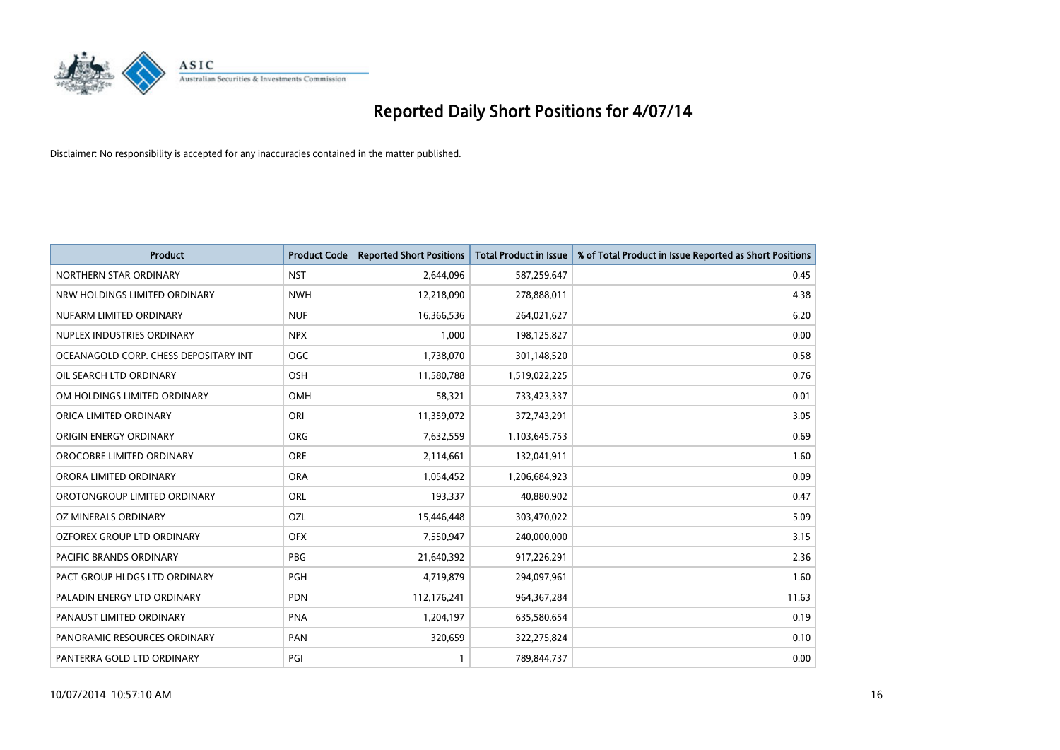

| <b>Product</b>                        | <b>Product Code</b> | <b>Reported Short Positions</b> | <b>Total Product in Issue</b> | % of Total Product in Issue Reported as Short Positions |
|---------------------------------------|---------------------|---------------------------------|-------------------------------|---------------------------------------------------------|
| NORTHERN STAR ORDINARY                | <b>NST</b>          | 2,644,096                       | 587,259,647                   | 0.45                                                    |
| NRW HOLDINGS LIMITED ORDINARY         | <b>NWH</b>          | 12,218,090                      | 278,888,011                   | 4.38                                                    |
| NUFARM LIMITED ORDINARY               | <b>NUF</b>          | 16,366,536                      | 264,021,627                   | 6.20                                                    |
| NUPLEX INDUSTRIES ORDINARY            | <b>NPX</b>          | 1,000                           | 198,125,827                   | 0.00                                                    |
| OCEANAGOLD CORP. CHESS DEPOSITARY INT | <b>OGC</b>          | 1,738,070                       | 301,148,520                   | 0.58                                                    |
| OIL SEARCH LTD ORDINARY               | OSH                 | 11,580,788                      | 1,519,022,225                 | 0.76                                                    |
| OM HOLDINGS LIMITED ORDINARY          | <b>OMH</b>          | 58,321                          | 733,423,337                   | 0.01                                                    |
| ORICA LIMITED ORDINARY                | ORI                 | 11,359,072                      | 372,743,291                   | 3.05                                                    |
| ORIGIN ENERGY ORDINARY                | <b>ORG</b>          | 7,632,559                       | 1,103,645,753                 | 0.69                                                    |
| OROCOBRE LIMITED ORDINARY             | <b>ORE</b>          | 2,114,661                       | 132,041,911                   | 1.60                                                    |
| ORORA LIMITED ORDINARY                | <b>ORA</b>          | 1,054,452                       | 1,206,684,923                 | 0.09                                                    |
| OROTONGROUP LIMITED ORDINARY          | <b>ORL</b>          | 193,337                         | 40,880,902                    | 0.47                                                    |
| OZ MINERALS ORDINARY                  | OZL                 | 15,446,448                      | 303,470,022                   | 5.09                                                    |
| OZFOREX GROUP LTD ORDINARY            | <b>OFX</b>          | 7,550,947                       | 240,000,000                   | 3.15                                                    |
| PACIFIC BRANDS ORDINARY               | <b>PBG</b>          | 21,640,392                      | 917,226,291                   | 2.36                                                    |
| PACT GROUP HLDGS LTD ORDINARY         | <b>PGH</b>          | 4,719,879                       | 294,097,961                   | 1.60                                                    |
| PALADIN ENERGY LTD ORDINARY           | <b>PDN</b>          | 112,176,241                     | 964, 367, 284                 | 11.63                                                   |
| PANAUST LIMITED ORDINARY              | <b>PNA</b>          | 1,204,197                       | 635,580,654                   | 0.19                                                    |
| PANORAMIC RESOURCES ORDINARY          | PAN                 | 320,659                         | 322,275,824                   | 0.10                                                    |
| PANTERRA GOLD LTD ORDINARY            | PGI                 |                                 | 789,844,737                   | 0.00                                                    |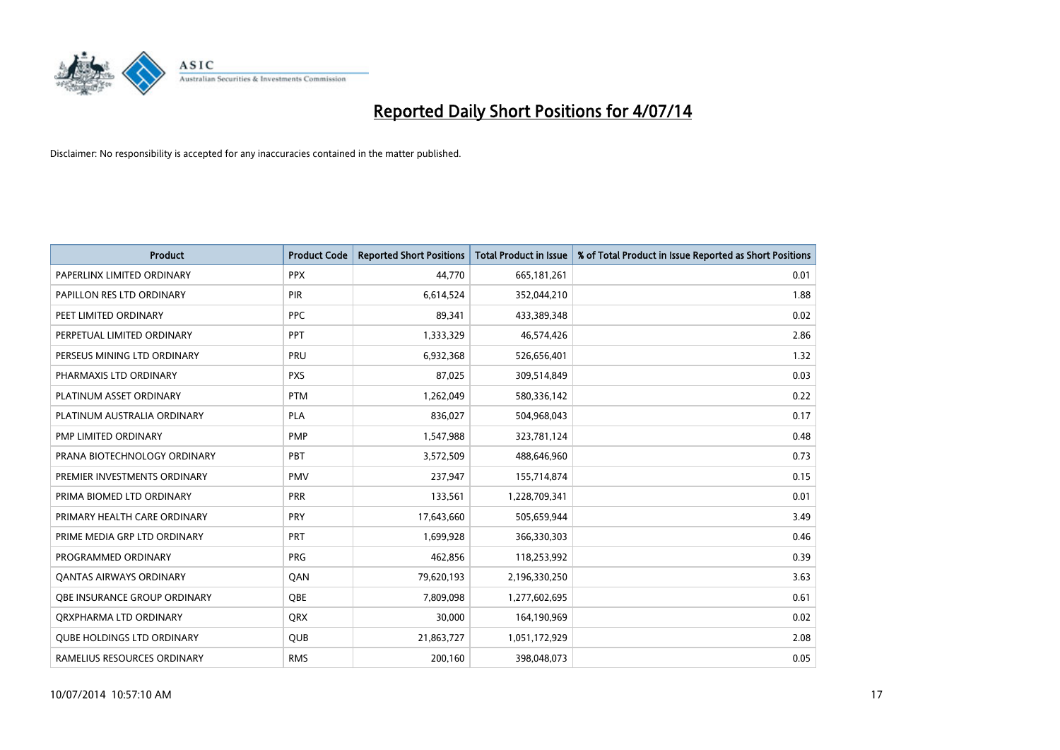

| <b>Product</b>                      | <b>Product Code</b> | <b>Reported Short Positions</b> | <b>Total Product in Issue</b> | % of Total Product in Issue Reported as Short Positions |
|-------------------------------------|---------------------|---------------------------------|-------------------------------|---------------------------------------------------------|
| PAPERLINX LIMITED ORDINARY          | <b>PPX</b>          | 44,770                          | 665,181,261                   | 0.01                                                    |
| PAPILLON RES LTD ORDINARY           | <b>PIR</b>          | 6,614,524                       | 352,044,210                   | 1.88                                                    |
| PEET LIMITED ORDINARY               | <b>PPC</b>          | 89,341                          | 433,389,348                   | 0.02                                                    |
| PERPETUAL LIMITED ORDINARY          | <b>PPT</b>          | 1,333,329                       | 46,574,426                    | 2.86                                                    |
| PERSEUS MINING LTD ORDINARY         | PRU                 | 6,932,368                       | 526,656,401                   | 1.32                                                    |
| PHARMAXIS LTD ORDINARY              | <b>PXS</b>          | 87,025                          | 309,514,849                   | 0.03                                                    |
| PLATINUM ASSET ORDINARY             | <b>PTM</b>          | 1,262,049                       | 580,336,142                   | 0.22                                                    |
| PLATINUM AUSTRALIA ORDINARY         | <b>PLA</b>          | 836,027                         | 504,968,043                   | 0.17                                                    |
| PMP LIMITED ORDINARY                | <b>PMP</b>          | 1,547,988                       | 323,781,124                   | 0.48                                                    |
| PRANA BIOTECHNOLOGY ORDINARY        | PBT                 | 3,572,509                       | 488,646,960                   | 0.73                                                    |
| PREMIER INVESTMENTS ORDINARY        | <b>PMV</b>          | 237,947                         | 155,714,874                   | 0.15                                                    |
| PRIMA BIOMED LTD ORDINARY           | <b>PRR</b>          | 133,561                         | 1,228,709,341                 | 0.01                                                    |
| PRIMARY HEALTH CARE ORDINARY        | PRY                 | 17,643,660                      | 505,659,944                   | 3.49                                                    |
| PRIME MEDIA GRP LTD ORDINARY        | PRT                 | 1,699,928                       | 366,330,303                   | 0.46                                                    |
| PROGRAMMED ORDINARY                 | <b>PRG</b>          | 462,856                         | 118,253,992                   | 0.39                                                    |
| <b>QANTAS AIRWAYS ORDINARY</b>      | QAN                 | 79,620,193                      | 2,196,330,250                 | 3.63                                                    |
| <b>QBE INSURANCE GROUP ORDINARY</b> | QBE                 | 7,809,098                       | 1,277,602,695                 | 0.61                                                    |
| ORXPHARMA LTD ORDINARY              | <b>QRX</b>          | 30,000                          | 164,190,969                   | 0.02                                                    |
| <b>OUBE HOLDINGS LTD ORDINARY</b>   | <b>QUB</b>          | 21,863,727                      | 1,051,172,929                 | 2.08                                                    |
| RAMELIUS RESOURCES ORDINARY         | <b>RMS</b>          | 200.160                         | 398,048,073                   | 0.05                                                    |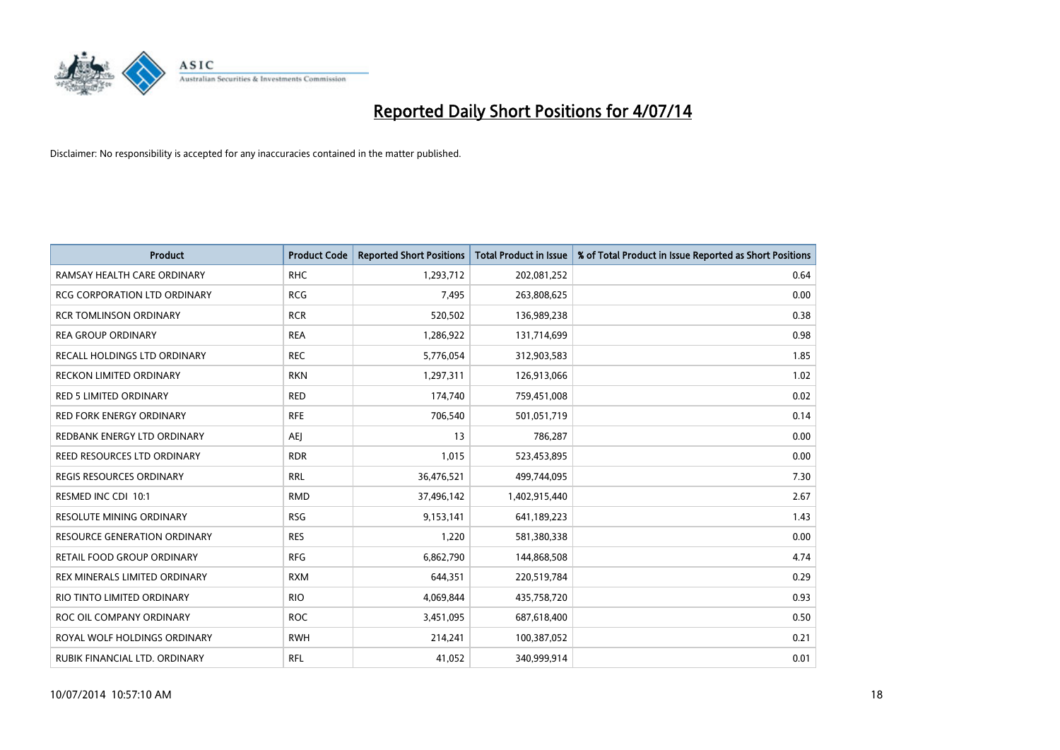

| <b>Product</b>                      | <b>Product Code</b> | <b>Reported Short Positions</b> | <b>Total Product in Issue</b> | % of Total Product in Issue Reported as Short Positions |
|-------------------------------------|---------------------|---------------------------------|-------------------------------|---------------------------------------------------------|
| RAMSAY HEALTH CARE ORDINARY         | <b>RHC</b>          | 1,293,712                       | 202,081,252                   | 0.64                                                    |
| RCG CORPORATION LTD ORDINARY        | <b>RCG</b>          | 7,495                           | 263,808,625                   | 0.00                                                    |
| <b>RCR TOMLINSON ORDINARY</b>       | <b>RCR</b>          | 520,502                         | 136,989,238                   | 0.38                                                    |
| <b>REA GROUP ORDINARY</b>           | <b>REA</b>          | 1,286,922                       | 131,714,699                   | 0.98                                                    |
| RECALL HOLDINGS LTD ORDINARY        | <b>REC</b>          | 5,776,054                       | 312,903,583                   | 1.85                                                    |
| <b>RECKON LIMITED ORDINARY</b>      | <b>RKN</b>          | 1,297,311                       | 126,913,066                   | 1.02                                                    |
| <b>RED 5 LIMITED ORDINARY</b>       | <b>RED</b>          | 174,740                         | 759,451,008                   | 0.02                                                    |
| <b>RED FORK ENERGY ORDINARY</b>     | <b>RFE</b>          | 706,540                         | 501,051,719                   | 0.14                                                    |
| REDBANK ENERGY LTD ORDINARY         | AEJ                 | 13                              | 786,287                       | 0.00                                                    |
| <b>REED RESOURCES LTD ORDINARY</b>  | <b>RDR</b>          | 1,015                           | 523,453,895                   | 0.00                                                    |
| <b>REGIS RESOURCES ORDINARY</b>     | <b>RRL</b>          | 36,476,521                      | 499,744,095                   | 7.30                                                    |
| RESMED INC CDI 10:1                 | <b>RMD</b>          | 37,496,142                      | 1,402,915,440                 | 2.67                                                    |
| <b>RESOLUTE MINING ORDINARY</b>     | <b>RSG</b>          | 9,153,141                       | 641,189,223                   | 1.43                                                    |
| <b>RESOURCE GENERATION ORDINARY</b> | <b>RES</b>          | 1,220                           | 581,380,338                   | 0.00                                                    |
| <b>RETAIL FOOD GROUP ORDINARY</b>   | <b>RFG</b>          | 6,862,790                       | 144,868,508                   | 4.74                                                    |
| REX MINERALS LIMITED ORDINARY       | <b>RXM</b>          | 644,351                         | 220,519,784                   | 0.29                                                    |
| RIO TINTO LIMITED ORDINARY          | <b>RIO</b>          | 4,069,844                       | 435,758,720                   | 0.93                                                    |
| ROC OIL COMPANY ORDINARY            | <b>ROC</b>          | 3,451,095                       | 687,618,400                   | 0.50                                                    |
| ROYAL WOLF HOLDINGS ORDINARY        | <b>RWH</b>          | 214,241                         | 100,387,052                   | 0.21                                                    |
| RUBIK FINANCIAL LTD. ORDINARY       | RFL                 | 41,052                          | 340,999,914                   | 0.01                                                    |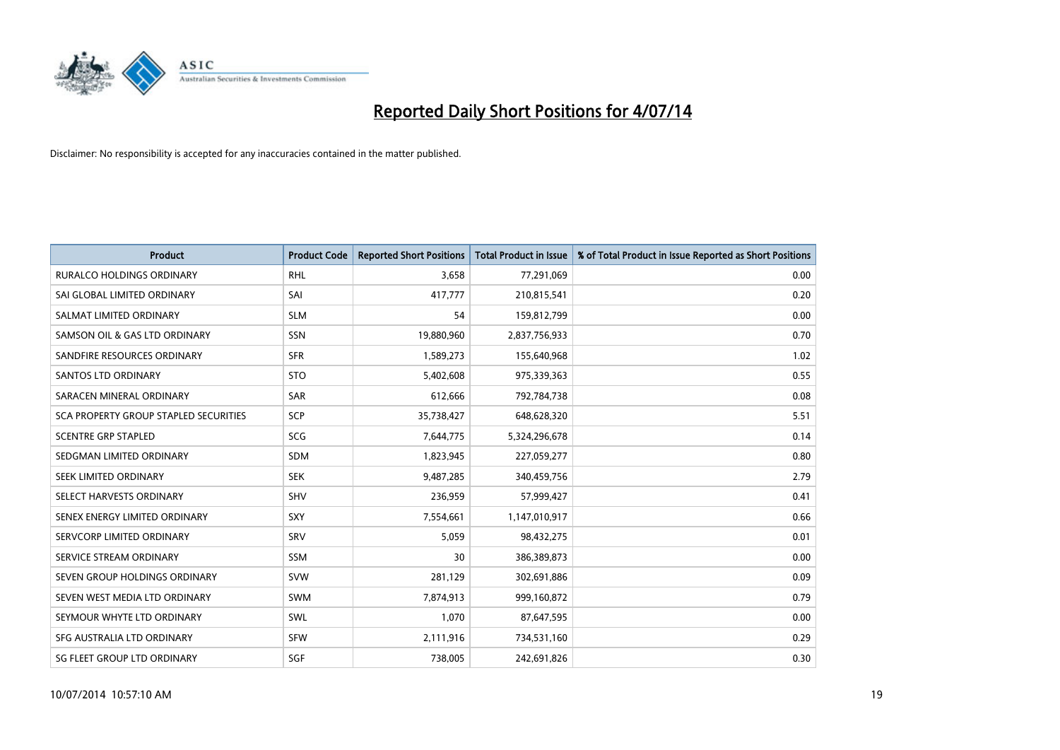

| <b>Product</b>                        | <b>Product Code</b> | <b>Reported Short Positions</b> | <b>Total Product in Issue</b> | % of Total Product in Issue Reported as Short Positions |
|---------------------------------------|---------------------|---------------------------------|-------------------------------|---------------------------------------------------------|
| <b>RURALCO HOLDINGS ORDINARY</b>      | <b>RHL</b>          | 3,658                           | 77,291,069                    | 0.00                                                    |
| SAI GLOBAL LIMITED ORDINARY           | SAI                 | 417,777                         | 210,815,541                   | 0.20                                                    |
| SALMAT LIMITED ORDINARY               | <b>SLM</b>          | 54                              | 159,812,799                   | 0.00                                                    |
| SAMSON OIL & GAS LTD ORDINARY         | SSN                 | 19,880,960                      | 2,837,756,933                 | 0.70                                                    |
| SANDFIRE RESOURCES ORDINARY           | <b>SFR</b>          | 1,589,273                       | 155,640,968                   | 1.02                                                    |
| <b>SANTOS LTD ORDINARY</b>            | <b>STO</b>          | 5,402,608                       | 975,339,363                   | 0.55                                                    |
| SARACEN MINERAL ORDINARY              | <b>SAR</b>          | 612,666                         | 792,784,738                   | 0.08                                                    |
| SCA PROPERTY GROUP STAPLED SECURITIES | <b>SCP</b>          | 35,738,427                      | 648,628,320                   | 5.51                                                    |
| <b>SCENTRE GRP STAPLED</b>            | SCG                 | 7,644,775                       | 5,324,296,678                 | 0.14                                                    |
| SEDGMAN LIMITED ORDINARY              | <b>SDM</b>          | 1,823,945                       | 227,059,277                   | 0.80                                                    |
| SEEK LIMITED ORDINARY                 | <b>SEK</b>          | 9,487,285                       | 340,459,756                   | 2.79                                                    |
| SELECT HARVESTS ORDINARY              | SHV                 | 236,959                         | 57,999,427                    | 0.41                                                    |
| SENEX ENERGY LIMITED ORDINARY         | <b>SXY</b>          | 7,554,661                       | 1,147,010,917                 | 0.66                                                    |
| SERVCORP LIMITED ORDINARY             | SRV                 | 5,059                           | 98,432,275                    | 0.01                                                    |
| SERVICE STREAM ORDINARY               | SSM                 | 30                              | 386,389,873                   | 0.00                                                    |
| SEVEN GROUP HOLDINGS ORDINARY         | <b>SVW</b>          | 281,129                         | 302,691,886                   | 0.09                                                    |
| SEVEN WEST MEDIA LTD ORDINARY         | <b>SWM</b>          | 7,874,913                       | 999,160,872                   | 0.79                                                    |
| SEYMOUR WHYTE LTD ORDINARY            | SWL                 | 1,070                           | 87,647,595                    | 0.00                                                    |
| SFG AUSTRALIA LTD ORDINARY            | <b>SFW</b>          | 2,111,916                       | 734,531,160                   | 0.29                                                    |
| SG FLEET GROUP LTD ORDINARY           | SGF                 | 738,005                         | 242,691,826                   | 0.30                                                    |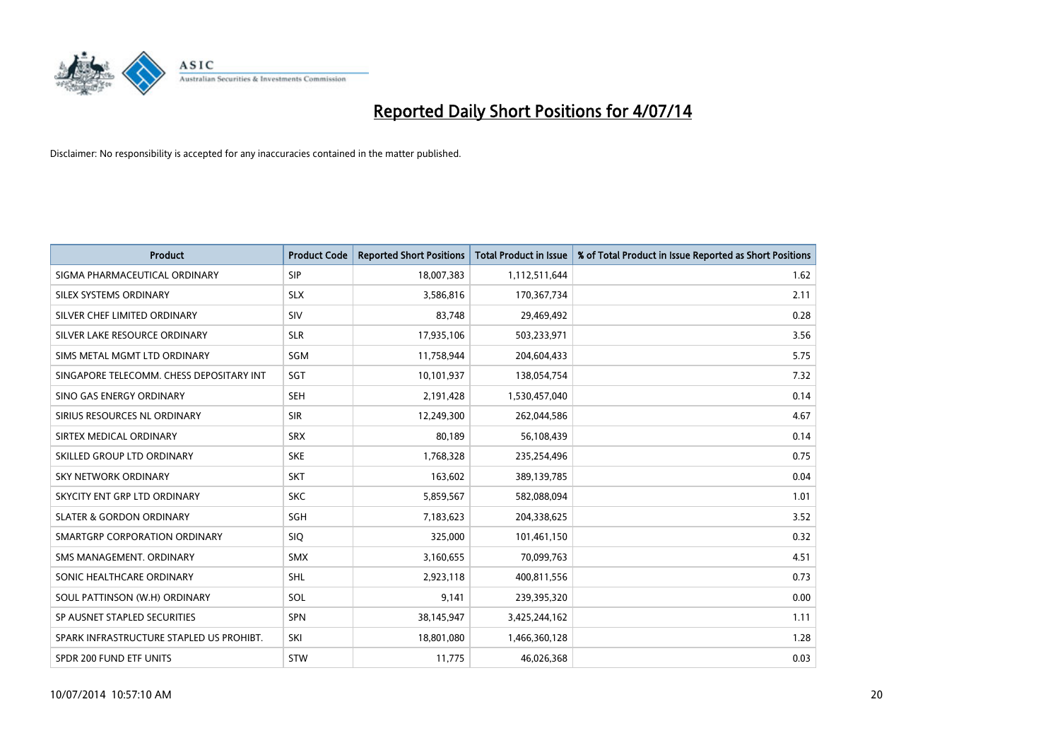

| <b>Product</b>                           | <b>Product Code</b> | <b>Reported Short Positions</b> | <b>Total Product in Issue</b> | % of Total Product in Issue Reported as Short Positions |
|------------------------------------------|---------------------|---------------------------------|-------------------------------|---------------------------------------------------------|
| SIGMA PHARMACEUTICAL ORDINARY            | <b>SIP</b>          | 18,007,383                      | 1,112,511,644                 | 1.62                                                    |
| SILEX SYSTEMS ORDINARY                   | <b>SLX</b>          | 3,586,816                       | 170,367,734                   | 2.11                                                    |
| SILVER CHEF LIMITED ORDINARY             | SIV                 | 83,748                          | 29,469,492                    | 0.28                                                    |
| SILVER LAKE RESOURCE ORDINARY            | <b>SLR</b>          | 17,935,106                      | 503,233,971                   | 3.56                                                    |
| SIMS METAL MGMT LTD ORDINARY             | SGM                 | 11,758,944                      | 204,604,433                   | 5.75                                                    |
| SINGAPORE TELECOMM. CHESS DEPOSITARY INT | SGT                 | 10,101,937                      | 138,054,754                   | 7.32                                                    |
| SINO GAS ENERGY ORDINARY                 | SEH                 | 2,191,428                       | 1,530,457,040                 | 0.14                                                    |
| SIRIUS RESOURCES NL ORDINARY             | <b>SIR</b>          | 12,249,300                      | 262,044,586                   | 4.67                                                    |
| SIRTEX MEDICAL ORDINARY                  | <b>SRX</b>          | 80,189                          | 56,108,439                    | 0.14                                                    |
| SKILLED GROUP LTD ORDINARY               | <b>SKE</b>          | 1,768,328                       | 235,254,496                   | 0.75                                                    |
| SKY NETWORK ORDINARY                     | <b>SKT</b>          | 163,602                         | 389,139,785                   | 0.04                                                    |
| SKYCITY ENT GRP LTD ORDINARY             | <b>SKC</b>          | 5,859,567                       | 582,088,094                   | 1.01                                                    |
| <b>SLATER &amp; GORDON ORDINARY</b>      | <b>SGH</b>          | 7,183,623                       | 204,338,625                   | 3.52                                                    |
| SMARTGRP CORPORATION ORDINARY            | <b>SIQ</b>          | 325,000                         | 101,461,150                   | 0.32                                                    |
| SMS MANAGEMENT, ORDINARY                 | <b>SMX</b>          | 3,160,655                       | 70,099,763                    | 4.51                                                    |
| SONIC HEALTHCARE ORDINARY                | SHL                 | 2,923,118                       | 400,811,556                   | 0.73                                                    |
| SOUL PATTINSON (W.H) ORDINARY            | SOL                 | 9,141                           | 239,395,320                   | 0.00                                                    |
| SP AUSNET STAPLED SECURITIES             | SPN                 | 38,145,947                      | 3,425,244,162                 | 1.11                                                    |
| SPARK INFRASTRUCTURE STAPLED US PROHIBT. | SKI                 | 18,801,080                      | 1,466,360,128                 | 1.28                                                    |
| SPDR 200 FUND ETF UNITS                  | <b>STW</b>          | 11,775                          | 46,026,368                    | 0.03                                                    |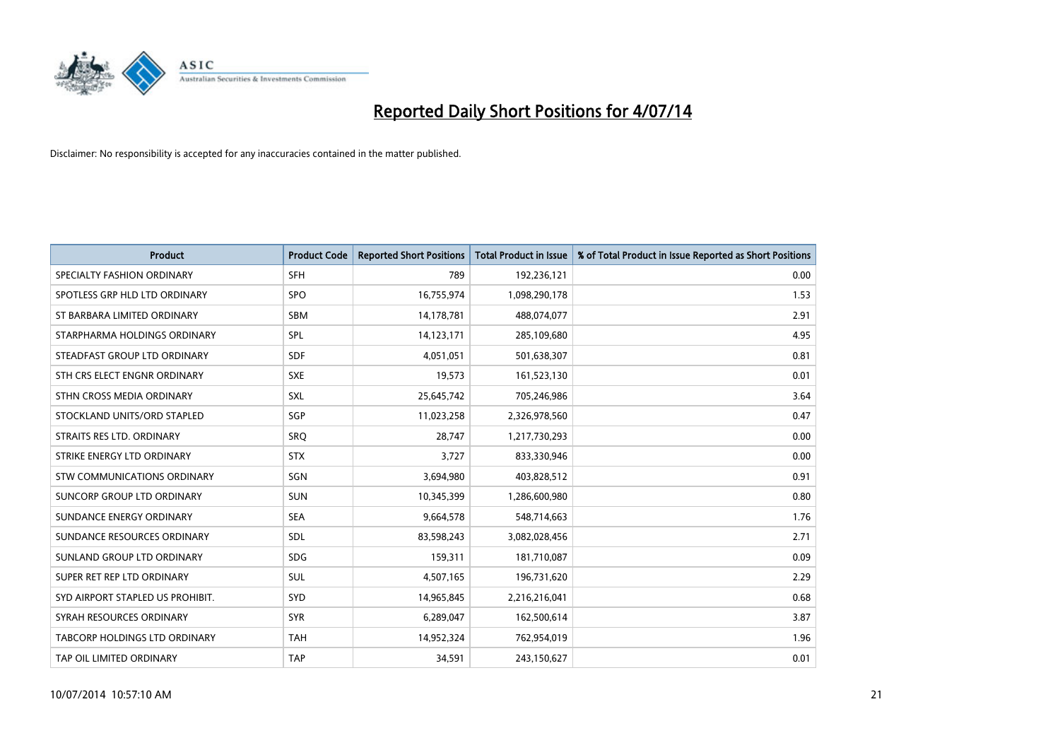

| <b>Product</b>                   | <b>Product Code</b> | <b>Reported Short Positions</b> | <b>Total Product in Issue</b> | % of Total Product in Issue Reported as Short Positions |
|----------------------------------|---------------------|---------------------------------|-------------------------------|---------------------------------------------------------|
| SPECIALTY FASHION ORDINARY       | <b>SFH</b>          | 789                             | 192,236,121                   | 0.00                                                    |
| SPOTLESS GRP HLD LTD ORDINARY    | <b>SPO</b>          | 16,755,974                      | 1,098,290,178                 | 1.53                                                    |
| ST BARBARA LIMITED ORDINARY      | <b>SBM</b>          | 14,178,781                      | 488,074,077                   | 2.91                                                    |
| STARPHARMA HOLDINGS ORDINARY     | <b>SPL</b>          | 14,123,171                      | 285,109,680                   | 4.95                                                    |
| STEADFAST GROUP LTD ORDINARY     | <b>SDF</b>          | 4,051,051                       | 501,638,307                   | 0.81                                                    |
| STH CRS ELECT ENGNR ORDINARY     | <b>SXE</b>          | 19,573                          | 161,523,130                   | 0.01                                                    |
| STHN CROSS MEDIA ORDINARY        | <b>SXL</b>          | 25,645,742                      | 705,246,986                   | 3.64                                                    |
| STOCKLAND UNITS/ORD STAPLED      | <b>SGP</b>          | 11,023,258                      | 2,326,978,560                 | 0.47                                                    |
| STRAITS RES LTD. ORDINARY        | SRO                 | 28.747                          | 1,217,730,293                 | 0.00                                                    |
| STRIKE ENERGY LTD ORDINARY       | <b>STX</b>          | 3,727                           | 833,330,946                   | 0.00                                                    |
| STW COMMUNICATIONS ORDINARY      | SGN                 | 3,694,980                       | 403,828,512                   | 0.91                                                    |
| SUNCORP GROUP LTD ORDINARY       | <b>SUN</b>          | 10,345,399                      | 1,286,600,980                 | 0.80                                                    |
| SUNDANCE ENERGY ORDINARY         | <b>SEA</b>          | 9,664,578                       | 548,714,663                   | 1.76                                                    |
| SUNDANCE RESOURCES ORDINARY      | SDL                 | 83,598,243                      | 3,082,028,456                 | 2.71                                                    |
| SUNLAND GROUP LTD ORDINARY       | <b>SDG</b>          | 159,311                         | 181,710,087                   | 0.09                                                    |
| SUPER RET REP LTD ORDINARY       | SUL                 | 4,507,165                       | 196,731,620                   | 2.29                                                    |
| SYD AIRPORT STAPLED US PROHIBIT. | SYD                 | 14,965,845                      | 2,216,216,041                 | 0.68                                                    |
| SYRAH RESOURCES ORDINARY         | <b>SYR</b>          | 6,289,047                       | 162,500,614                   | 3.87                                                    |
| TABCORP HOLDINGS LTD ORDINARY    | <b>TAH</b>          | 14,952,324                      | 762,954,019                   | 1.96                                                    |
| TAP OIL LIMITED ORDINARY         | <b>TAP</b>          | 34,591                          | 243,150,627                   | 0.01                                                    |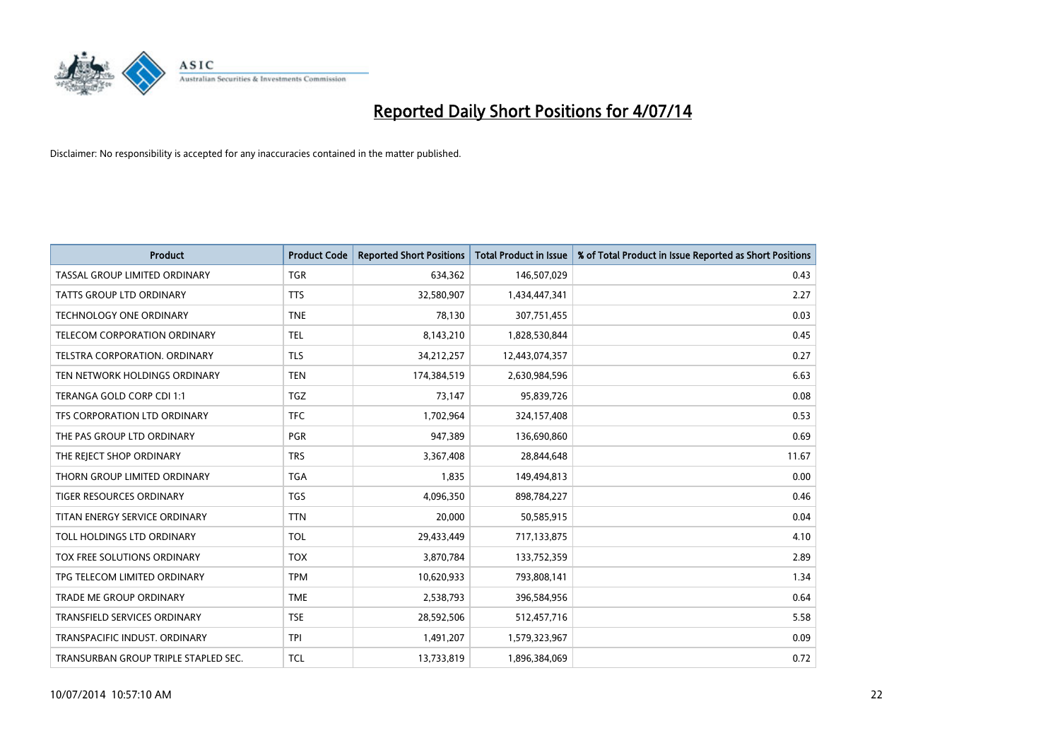

| <b>Product</b>                       | <b>Product Code</b> | <b>Reported Short Positions</b> | <b>Total Product in Issue</b> | % of Total Product in Issue Reported as Short Positions |
|--------------------------------------|---------------------|---------------------------------|-------------------------------|---------------------------------------------------------|
| TASSAL GROUP LIMITED ORDINARY        | <b>TGR</b>          | 634,362                         | 146,507,029                   | 0.43                                                    |
| TATTS GROUP LTD ORDINARY             | <b>TTS</b>          | 32,580,907                      | 1,434,447,341                 | 2.27                                                    |
| <b>TECHNOLOGY ONE ORDINARY</b>       | <b>TNE</b>          | 78,130                          | 307,751,455                   | 0.03                                                    |
| TELECOM CORPORATION ORDINARY         | <b>TEL</b>          | 8,143,210                       | 1,828,530,844                 | 0.45                                                    |
| TELSTRA CORPORATION, ORDINARY        | <b>TLS</b>          | 34,212,257                      | 12,443,074,357                | 0.27                                                    |
| TEN NETWORK HOLDINGS ORDINARY        | <b>TEN</b>          | 174,384,519                     | 2,630,984,596                 | 6.63                                                    |
| TERANGA GOLD CORP CDI 1:1            | <b>TGZ</b>          | 73,147                          | 95,839,726                    | 0.08                                                    |
| TFS CORPORATION LTD ORDINARY         | <b>TFC</b>          | 1,702,964                       | 324,157,408                   | 0.53                                                    |
| THE PAS GROUP LTD ORDINARY           | <b>PGR</b>          | 947,389                         | 136,690,860                   | 0.69                                                    |
| THE REJECT SHOP ORDINARY             | <b>TRS</b>          | 3,367,408                       | 28,844,648                    | 11.67                                                   |
| THORN GROUP LIMITED ORDINARY         | <b>TGA</b>          | 1,835                           | 149,494,813                   | 0.00                                                    |
| <b>TIGER RESOURCES ORDINARY</b>      | <b>TGS</b>          | 4,096,350                       | 898,784,227                   | 0.46                                                    |
| TITAN ENERGY SERVICE ORDINARY        | <b>TTN</b>          | 20,000                          | 50,585,915                    | 0.04                                                    |
| TOLL HOLDINGS LTD ORDINARY           | <b>TOL</b>          | 29,433,449                      | 717,133,875                   | 4.10                                                    |
| TOX FREE SOLUTIONS ORDINARY          | <b>TOX</b>          | 3,870,784                       | 133,752,359                   | 2.89                                                    |
| TPG TELECOM LIMITED ORDINARY         | <b>TPM</b>          | 10,620,933                      | 793,808,141                   | 1.34                                                    |
| <b>TRADE ME GROUP ORDINARY</b>       | <b>TME</b>          | 2,538,793                       | 396,584,956                   | 0.64                                                    |
| TRANSFIELD SERVICES ORDINARY         | <b>TSE</b>          | 28,592,506                      | 512,457,716                   | 5.58                                                    |
| TRANSPACIFIC INDUST, ORDINARY        | <b>TPI</b>          | 1,491,207                       | 1,579,323,967                 | 0.09                                                    |
| TRANSURBAN GROUP TRIPLE STAPLED SEC. | TCL                 | 13,733,819                      | 1,896,384,069                 | 0.72                                                    |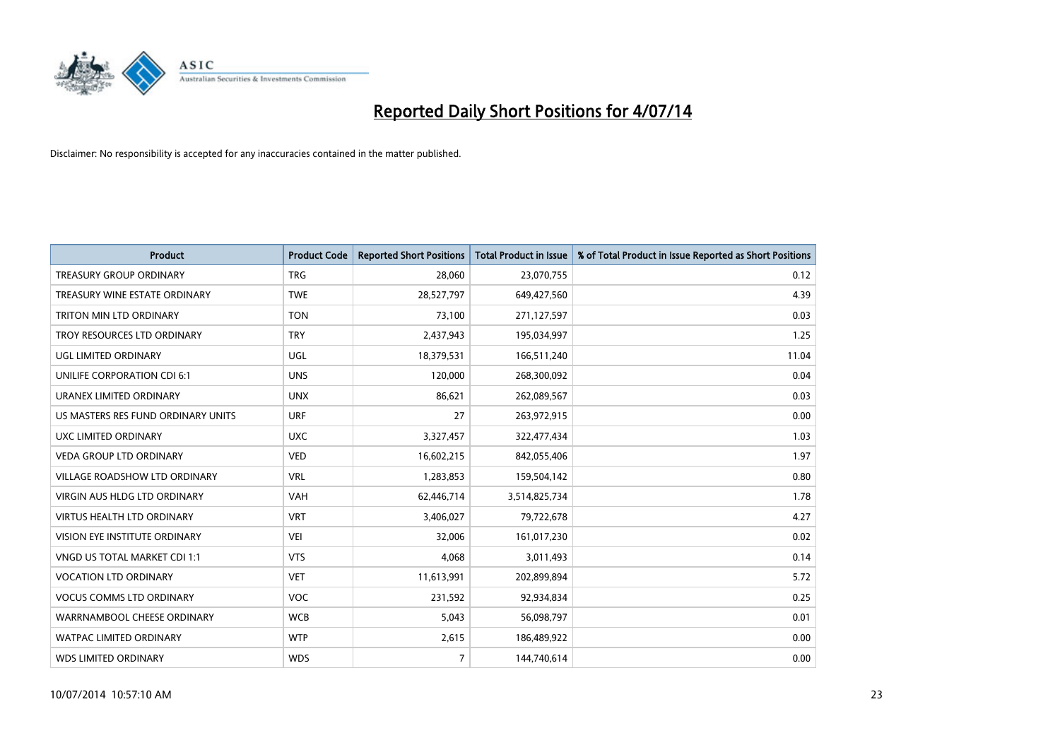

| <b>Product</b>                       | <b>Product Code</b> | <b>Reported Short Positions</b> | <b>Total Product in Issue</b> | % of Total Product in Issue Reported as Short Positions |
|--------------------------------------|---------------------|---------------------------------|-------------------------------|---------------------------------------------------------|
| <b>TREASURY GROUP ORDINARY</b>       | <b>TRG</b>          | 28,060                          | 23,070,755                    | 0.12                                                    |
| TREASURY WINE ESTATE ORDINARY        | <b>TWE</b>          | 28,527,797                      | 649,427,560                   | 4.39                                                    |
| TRITON MIN LTD ORDINARY              | <b>TON</b>          | 73,100                          | 271,127,597                   | 0.03                                                    |
| TROY RESOURCES LTD ORDINARY          | <b>TRY</b>          | 2,437,943                       | 195,034,997                   | 1.25                                                    |
| <b>UGL LIMITED ORDINARY</b>          | UGL                 | 18,379,531                      | 166,511,240                   | 11.04                                                   |
| UNILIFE CORPORATION CDI 6:1          | <b>UNS</b>          | 120,000                         | 268,300,092                   | 0.04                                                    |
| URANEX LIMITED ORDINARY              | <b>UNX</b>          | 86,621                          | 262,089,567                   | 0.03                                                    |
| US MASTERS RES FUND ORDINARY UNITS   | <b>URF</b>          | 27                              | 263,972,915                   | 0.00                                                    |
| UXC LIMITED ORDINARY                 | <b>UXC</b>          | 3,327,457                       | 322,477,434                   | 1.03                                                    |
| VEDA GROUP LTD ORDINARY              | <b>VED</b>          | 16,602,215                      | 842,055,406                   | 1.97                                                    |
| VILLAGE ROADSHOW LTD ORDINARY        | <b>VRL</b>          | 1,283,853                       | 159,504,142                   | 0.80                                                    |
| <b>VIRGIN AUS HLDG LTD ORDINARY</b>  | <b>VAH</b>          | 62,446,714                      | 3,514,825,734                 | 1.78                                                    |
| <b>VIRTUS HEALTH LTD ORDINARY</b>    | <b>VRT</b>          | 3,406,027                       | 79,722,678                    | 4.27                                                    |
| <b>VISION EYE INSTITUTE ORDINARY</b> | <b>VEI</b>          | 32,006                          | 161,017,230                   | 0.02                                                    |
| VNGD US TOTAL MARKET CDI 1:1         | <b>VTS</b>          | 4,068                           | 3,011,493                     | 0.14                                                    |
| <b>VOCATION LTD ORDINARY</b>         | <b>VET</b>          | 11,613,991                      | 202,899,894                   | 5.72                                                    |
| <b>VOCUS COMMS LTD ORDINARY</b>      | VOC                 | 231,592                         | 92,934,834                    | 0.25                                                    |
| WARRNAMBOOL CHEESE ORDINARY          | <b>WCB</b>          | 5,043                           | 56,098,797                    | 0.01                                                    |
| <b>WATPAC LIMITED ORDINARY</b>       | <b>WTP</b>          | 2,615                           | 186,489,922                   | 0.00                                                    |
| <b>WDS LIMITED ORDINARY</b>          | <b>WDS</b>          | $\overline{7}$                  | 144,740,614                   | 0.00                                                    |